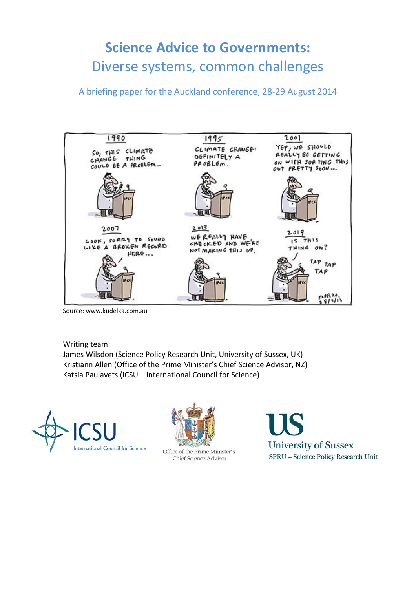# **Science Advice to Governments:** Diverse systems, common challenges

A briefing paper for the Auckland conference, 28-29 August 2014



Source: www.kudelka.com.au

Writing team:

James Wilsdon (Science Policy Research Unit, University of Sussex, UK) Kristiann Allen (Office of the Prime Minister's Chief Science Advisor, NZ) Katsia Paulavets (ICSU – International Council for Science)





**University of Sussex** SPRU - Science Policy Research Unit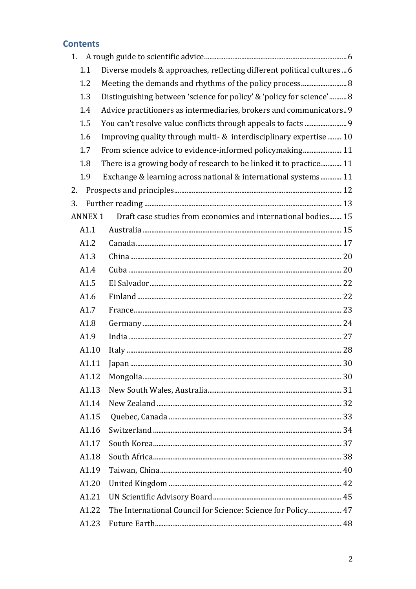# **Contents**

| 1.1           | Diverse models & approaches, reflecting different political cultures  6 |    |
|---------------|-------------------------------------------------------------------------|----|
| 1.2           | Meeting the demands and rhythms of the policy process 8                 |    |
| 1.3           | Distinguishing between 'science for policy' & 'policy for science' 8    |    |
| 1.4           | Advice practitioners as intermediaries, brokers and communicators9      |    |
| 1.5           | You can't resolve value conflicts through appeals to facts  9           |    |
| 1.6           | Improving quality through multi- & interdisciplinary expertise  10      |    |
| 1.7           | From science advice to evidence-informed policymaking 11                |    |
| 1.8           | There is a growing body of research to be linked it to practice 11      |    |
| 1.9           | Exchange & learning across national & international systems 11          |    |
| 2.            |                                                                         |    |
| 3.            |                                                                         |    |
| <b>ANNEX1</b> | Draft case studies from economies and international bodies 15           |    |
| A1.1          |                                                                         |    |
| A1.2          |                                                                         |    |
| A1.3          |                                                                         |    |
| A1.4          |                                                                         |    |
| A1.5          |                                                                         |    |
| A1.6          |                                                                         |    |
| A1.7          |                                                                         |    |
| A1.8          |                                                                         |    |
| A1.9          |                                                                         |    |
| A1.10         |                                                                         |    |
| A1.11         |                                                                         | 30 |
| A1.12         |                                                                         |    |
| A1.13         |                                                                         |    |
| A1.14         |                                                                         |    |
| A1.15         |                                                                         |    |
| A1.16         |                                                                         |    |
| A1.17         |                                                                         |    |
| A1.18         |                                                                         |    |
| A1.19         |                                                                         |    |
| A1.20         |                                                                         |    |
| A1.21         |                                                                         |    |
| A1.22         | The International Council for Science: Science for Policy 47            |    |
| A1.23         |                                                                         |    |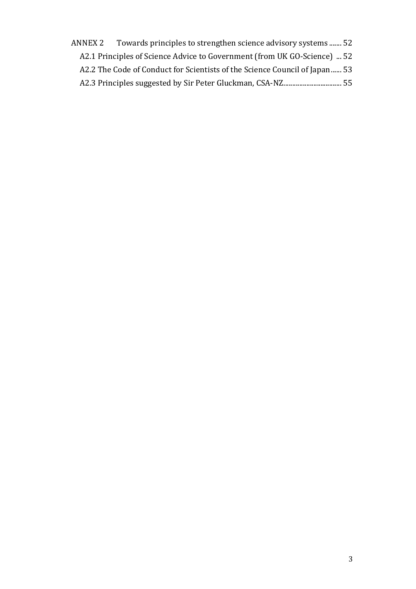- ANNEX 2 [Towards principles to strengthen science advisory systems](#page-51-0) ....... 52
	- [A2.1 Principles of Science Advice to Government \(from UK GO-Science\) ...](#page-51-1) 52
	- [A2.2 The Code of Conduct for Scientists of the Science Council of Japan......](#page-52-0) 53
	- [A2.3 Principles suggested by Sir Peter Gluckman, CSA-NZ.................................](#page-54-0) 55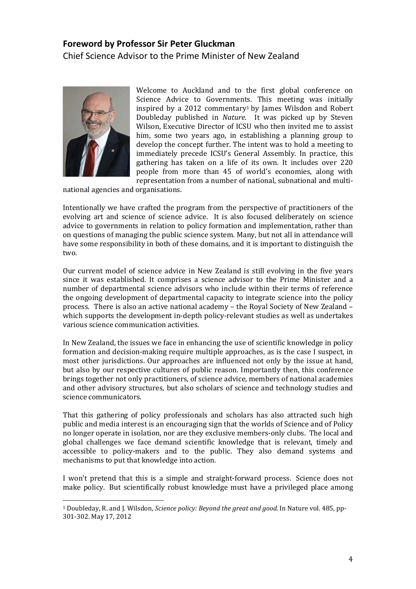# **Foreword by Professor Sir Peter Gluckman** Chief Science Advisor to the Prime Minister of New Zealand



Welcome to Auckland and to the first global conference on Science Advice to Governmen[ts](#page-3-0). This meeting was initially inspired by a 2012 commentary1 by James Wilsdon and Robert Doubleday published in *Nature*. It was picked up by Steven Wilson, Executive Director of ICSU who then invited me to assist him, some two years ago, in establishing a planning group to develop the concept further. The intent was to hold a meeting to immediately precede ICSU's General Assembly. In practice, this gathering has taken on a life of its own. It includes over 220 people from more than 45 of world's economies, along with representation from a number of national, subnational and multi-

national agencies and organisations.

Intentionally we have crafted the program from the perspective of practitioners of the evolving art and science of science advice. It is also focused deliberately on science advice to governments in relation to policy formation and implementation, rather than on questions of managing the public science system. Many, but not all in attendance will have some responsibility in both of these domains, and it is important to distinguish the two.

Our current model of science advice in New Zealand is still evolving in the five years since it was established. It comprises a science advisor to the Prime Minister and a number of departmental science advisors who include within their terms of reference the ongoing development of departmental capacity to integrate science into the policy process. There is also an active national academy – the Royal Society of New Zealand – which supports the development in-depth policy-relevant studies as well as undertakes various science communication activities.

In New Zealand, the issues we face in enhancing the use of scientific knowledge in policy formation and decision-making require multiple approaches, as is the case I suspect, in most other jurisdictions. Our approaches are influenced not only by the issue at hand, but also by our respective cultures of public reason. Importantly then, this conference brings together not only practitioners, of science advice, members of national academies and other advisory structures, but also scholars of science and technology studies and science communicators.

That this gathering of policy professionals and scholars has also attracted such high public and media interest is an encouraging sign that the worlds of Science and of Policy no longer operate in isolation, nor are they exclusive members-only clubs. The local and global challenges we face demand scientific knowledge that is relevant, timely and accessible to policy-makers and to the public. They also demand systems and mechanisms to put that knowledge into action.

I won't pretend that this is a simple and straight-forward process. Science does not make policy. But scientifically robust knowledge must have a privileged place among

<span id="page-3-0"></span><sup>1</sup> Doubleday, R. and J. Wilsdon, *Science policy: Beyond the great and good.* In Nature vol. 485, pp-301-302. May 17, 2012 j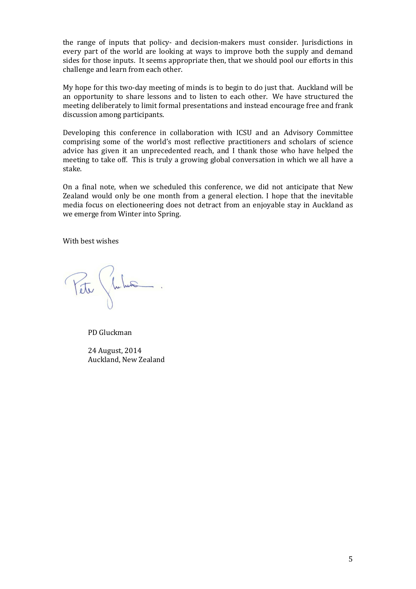the range of inputs that policy- and decision-makers must consider. Jurisdictions in every part of the world are looking at ways to improve both the supply and demand sides for those inputs. It seems appropriate then, that we should pool our efforts in this challenge and learn from each other.

My hope for this two-day meeting of minds is to begin to do just that. Auckland will be an opportunity to share lessons and to listen to each other. We have structured the meeting deliberately to limit formal presentations and instead encourage free and frank discussion among participants.

Developing this conference in collaboration with ICSU and an Advisory Committee comprising some of the world's most reflective practitioners and scholars of science advice has given it an unprecedented reach, and I thank those who have helped the meeting to take off. This is truly a growing global conversation in which we all have a stake.

On a final note, when we scheduled this conference, we did not anticipate that New Zealand would only be one month from a general election. I hope that the inevitable media focus on electioneering does not detract from an enjoyable stay in Auckland as we emerge from Winter into Spring.

With best wishes

Peter Shimma

PD Gluckman

24 August, 2014 Auckland, New Zealand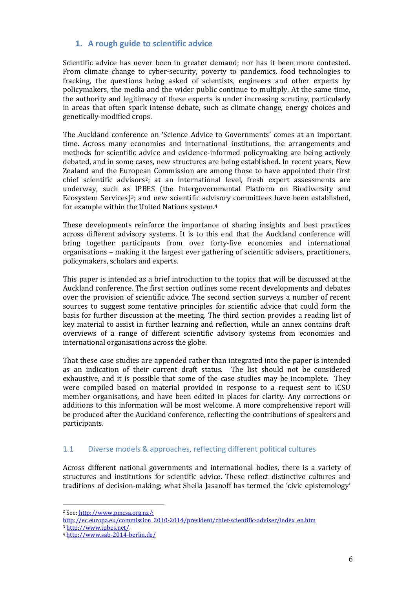# <span id="page-5-0"></span>**1. A rough guide to scientific advice**

Scientific advice has never been in greater demand; nor has it been more contested. From climate change to cyber-security, poverty to pandemics, food technologies to fracking, the questions being asked of scientists, engineers and other experts by policymakers, the media and the wider public continue to multiply. At the same time, the authority and legitimacy of these experts is under increasing scrutiny, particularly in areas that often spark intense debate, such as climate change, energy choices and genetically-modified crops.

The Auckland conference on 'Science Advice to Governments' comes at an important time. Across many economies and international institutions, the arrangements and methods for scientific advice and evidence-informed policymaking are being actively debated, and in some cases, new structures are being established. In recent years, New Zealand and the European Commission are among those to have appointed their first chief scientific advisors<sup>2</sup>; at an international level, fresh expert assessments are underway, such as IPBES (the Intergovernmental Platform on Biodiversity and Ecosystem Services)[3;](#page-5-3) and new scientific advisory committees have been established, for example within the United Nations system[.4](#page-5-4)

These developments reinforce the importance of sharing insights and best practices across different advisory systems. It is to this end that the Auckland conference will bring together participants from over forty-five economies and international organisations – making it the largest ever gathering of scientific advisers, practitioners, policymakers, scholars and experts.

This paper is intended as a brief introduction to the topics that will be discussed at the Auckland conference. The first section outlines some recent developments and debates over the provision of scientific advice. The second section surveys a number of recent sources to suggest some tentative principles for scientific advice that could form the basis for further discussion at the meeting. The third section provides a reading list of key material to assist in further learning and reflection, while an annex contains draft overviews of a range of different scientific advisory systems from economies and international organisations across the globe.

That these case studies are appended rather than integrated into the paper is intended as an indication of their current draft status. The list should not be considered exhaustive, and it is possible that some of the case studies may be incomplete. They were compiled based on material provided in response to a request sent to ICSU member organisations, and have been edited in places for clarity. Any corrections or additions to this information will be most welcome. A more comprehensive report will be produced after the Auckland conference, reflecting the contributions of speakers and participants.

# <span id="page-5-1"></span>1.1 Diverse models & approaches, reflecting different political cultures

Across different national governments and international bodies, there is a variety of structures and institutions for scientific advice. These reflect distinctive cultures and traditions of decision-making; what Sheila Jasanoff has termed the 'civic epistemology'

<sup>&</sup>lt;sup>2</sup> See: <u><http://www.pmcsa.org.nz/;></u>  $\overline{a}$ 

<span id="page-5-2"></span>[http://ec.europa.eu/commission\\_2010-2014/president/chief-scientific-adviser/index\\_en.htm](http://ec.europa.eu/commission_2010-2014/president/chief-scientific-adviser/index_en.htm) <sup>3</sup> <http://www.ipbes.net/>

<span id="page-5-4"></span><span id="page-5-3"></span><sup>4</sup> <http://www.sab-2014-berlin.de/>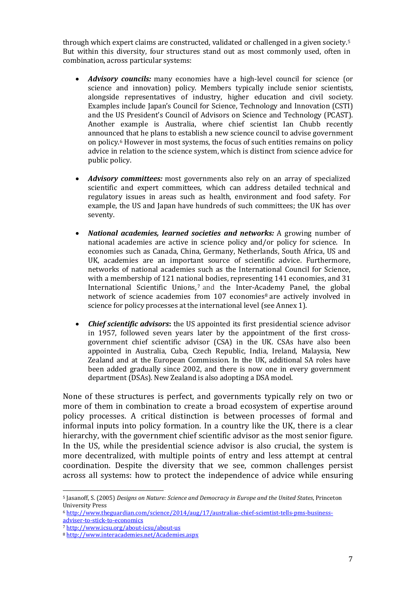through which expert claims are constructed, validated or challenged in a given society.[5](#page-6-0) But within this diversity, four structures stand out as most commonly used, often in combination, across particular systems:

- *Advisory councils:* many economies have a high-level council for science (or science and innovation) policy. Members typically include senior scientists, alongside representatives of industry, higher education and civil society. Examples include Japan's Council for Science, Technology and Innovation (CSTI) and the US President's Council of Advisors on Science and Technology (PCAST). Another example is Australia, where chief scientist Ian Chubb recently announced that he plans to establish a new science council to advise government on policy.[6](#page-6-1) However in most systems, the focus of such entities remains on policy advice in relation to the science system, which is distinct from science advice for public policy.
- *Advisory committees:* most governments also rely on an array of specialized scientific and expert committees, which can address detailed technical and regulatory issues in areas such as health, environment and food safety. For example, the US and Japan have hundreds of such committees; the UK has over seventy.
- *National academies, learned societies and networks:* A growing number of national academies are active in science policy and/or policy for science. In economies such as Canada, China, Germany, Netherlands, South Africa, US and UK, academies are an important source of scientific advice. Furthermore, networks of national academies such as the International Council for Science, with a membership of 121 nation[a](#page-6-2)l bodies, representing 141 economies, and 31 International Scientific Unions,<sup>7</sup> and the Inter-Academy Panel, the global network of science academies from 107 economies<sup>[8](#page-6-3)</sup> are actively involved in science for policy processes at the international level (see Annex 1).
- *Chief scientific advisors***:** the US appointed its first presidential science advisor in 1957, followed seven years later by the appointment of the first crossgovernment chief scientific advisor (CSA) in the UK. CSAs have also been appointed in Australia, Cuba, Czech Republic, India, Ireland, Malaysia, New Zealand and at the European Commission. In the UK, additional SA roles have been added gradually since 2002, and there is now one in every government department (DSAs). New Zealand is also adopting a DSA model.

None of these structures is perfect, and governments typically rely on two or more of them in combination to create a broad ecosystem of expertise around policy processes. A critical distinction is between processes of formal and informal inputs into policy formation. In a country like the UK, there is a clear hierarchy, with the government chief scientific advisor as the most senior figure. In the US, while the presidential science advisor is also crucial, the system is more decentralized, with multiple points of entry and less attempt at central coordination. Despite the diversity that we see, common challenges persist across all systems: how to protect the independence of advice while ensuring

<span id="page-6-0"></span><sup>5</sup> Jasanoff, S. (2005) *Designs on Nature: Science and Democracy in Europe and the United States*, Princeton University Press l

<span id="page-6-1"></span><sup>6</sup> [http://www.theguardian.com/science/2014/aug/17/australias-chief-scientist-tells-pms-business](http://www.theguardian.com/science/2014/aug/17/australias-chief-scientist-tells-pms-business-adviser-to-stick-to-economics)[adviser-to-stick-to-economics](http://www.theguardian.com/science/2014/aug/17/australias-chief-scientist-tells-pms-business-adviser-to-stick-to-economics)<br>7 http://www.icsu.org/about-icsu/about-us

<span id="page-6-3"></span><span id="page-6-2"></span>[<sup>8</sup>](http://www.interacademies.net/Academies.aspx) http://www.interacademies.net/Academies.aspx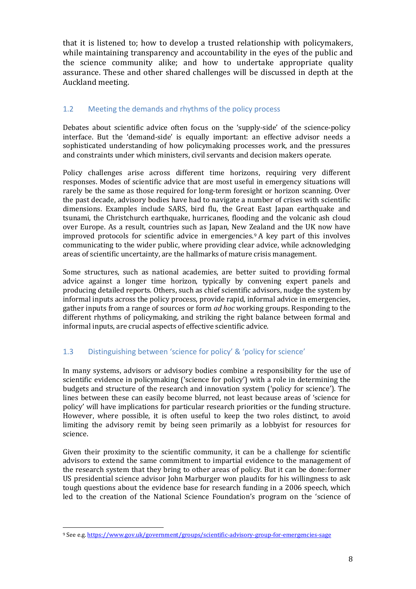that it is listened to; how to develop a trusted relationship with policymakers, while maintaining transparency and accountability in the eyes of the public and the science community alike; and how to undertake appropriate quality assurance. These and other shared challenges will be discussed in depth at the Auckland meeting.

# <span id="page-7-0"></span>1.2 Meeting the demands and rhythms of the policy process

Debates about scientific advice often focus on the 'supply-side' of the science-policy interface. But the 'demand-side' is equally important: an effective advisor needs a sophisticated understanding of how policymaking processes work, and the pressures and constraints under which ministers, civil servants and decision makers operate.

Policy challenges arise across different time horizons, requiring very different responses. Modes of scientific advice that are most useful in emergency situations will rarely be the same as those required for long-term foresight or horizon scanning. Over the past decade, advisory bodies have had to navigate a number of crises with scientific dimensions. Examples include SARS, bird flu, the Great East Japan earthquake and tsunami, the Christchurch earthquake, hurricanes, flooding and the volcanic ash cloud over Europe. As a result, countries such as Japan, New Zealand and the UK now have improved protocols for scientific advice in emergencies.<sup>[9](#page-7-2)</sup> A key part of this involves communicating to the wider public, where providing clear advice, while acknowledging areas of scientific uncertainty, are the hallmarks of mature crisis management.

Some structures, such as national academies, are better suited to providing formal advice against a longer time horizon, typically by convening expert panels and producing detailed reports. Others, such as chief scientific advisors, nudge the system by informal inputs across the policy process, provide rapid, informal advice in emergencies, gather inputs from a range of sources or form *ad hoc* working groups. Responding to the different rhythms of policymaking, and striking the right balance between formal and informal inputs, are crucial aspects of effective scientific advice.

# <span id="page-7-1"></span>1.3 Distinguishing between 'science for policy' & 'policy for science'

In many systems, advisors or advisory bodies combine a responsibility for the use of scientific evidence in policymaking ('science for policy') with a role in determining the budgets and structure of the research and innovation system ('policy for science'). The lines between these can easily become blurred, not least because areas of 'science for policy' will have implications for particular research priorities or the funding structure. However, where possible, it is often useful to keep the two roles distinct, to avoid limiting the advisory remit by being seen primarily as a lobbyist for resources for science.

Given their proximity to the scientific community, it can be a challenge for scientific advisors to extend the same commitment to impartial evidence to the management of the research system that they bring to other areas of policy. But it can be done:former US presidential science advisor John Marburger won plaudits for his willingness to ask tough questions about the evidence base for research funding in a 2006 speech, which led to the creation of the National Science Foundation's program on the 'science of

<span id="page-7-2"></span><sup>9</sup> See e.g[. https://www.gov.uk/government/groups/scientific-advisory-group-for-emergencies-sage](https://www.gov.uk/government/groups/scientific-advisory-group-for-emergencies-sage) l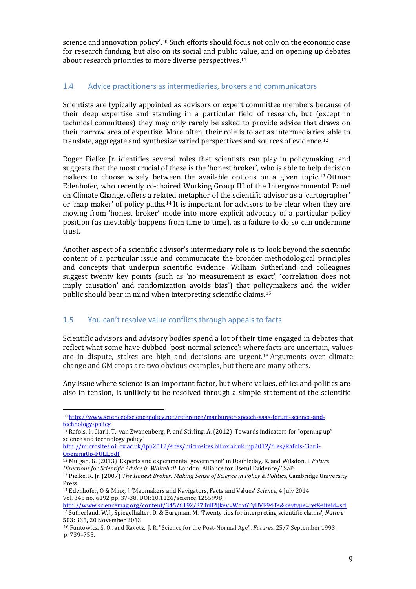science and innovation policy'[.10](#page-8-2) Such efforts should focus not only on the economic case for research funding, but also on its social and public [va](#page-8-3)lue, and on opening up debates about research priorities to more diverse perspectives.11

# <span id="page-8-0"></span>1.4 Advice practitioners as intermediaries, brokers and communicators

Scientists are typically appointed as advisors or expert committee members because of their deep expertise and standing in a particular field of research, but (except in technical committees) they may only rarely be asked to provide advice that draws on their narrow area of expertise. More often, their role is to act as intermediaries, able to translate, aggregate and synthesize varied perspectives and sources of evidence.[12](#page-8-4)

Roger Pielke Jr. identifies several roles that scientists can play in policymaking, and suggests that the most crucial of these is the 'honest broker', who is able to help decision makers to choose wisely between the available options on a given topic.[13](#page-8-5) Ottmar Edenhofer, who recently co-chaired Working Group III of the Intergovernmental Panel on Climate Change, offers a related metaphor of the scientific advisor as a 'cartographer' or 'map maker' of policy paths.[14](#page-8-6) It is important for advisors to be clear when they are moving from 'honest broker' mode into more explicit advocacy of a particular policy position (as inevitably happens from time to time), as a failure to do so can undermine trust.

Another aspect of a scientific advisor's intermediary role is to look beyond the scientific content of a particular issue and communicate the broader methodological principles and concepts that underpin scientific evidence. William Sutherland and colleagues suggest twenty key points (such as 'no measurement is exact', 'correlation does not imply causation' and randomization avoids bias') that policymakers and the wider public should bear in mind when interpreting scientific claims.[15](#page-8-7)

# <span id="page-8-1"></span>1.5 You can't resolve value conflicts through appeals to facts

Scientific advisors and advisory bodies spend a lot of their time engaged in debates that reflect what some have dubbed 'post-normal science': where facts are uncertain, values are in dispute, stakes are high and decisions are urgent.[16](#page-8-8) Arguments over climate change and GM crops are two obvious examples, but there are many others.

Any issue where science is an important factor, but where values, ethics and politics are also in tension, is unlikely to be resolved through a simple statement of the scientific

<span id="page-8-2"></span><sup>10</sup> [http://www.scienceofsciencepolicy.net/reference/marburger-speech-aaas-forum-science-and](http://www.scienceofsciencepolicy.net/reference/marburger-speech-aaas-forum-science-and-technology-policy)[technology-policy](http://www.scienceofsciencepolicy.net/reference/marburger-speech-aaas-forum-science-and-technology-policy) j

[http://microsites.oii.ox.ac.uk/ipp2012/sites/microsites.oii.ox.ac.uk.ipp2012/files/Rafols-Ciarli-](http://microsites.oii.ox.ac.uk/ipp2012/sites/microsites.oii.ox.ac.uk.ipp2012/files/Rafols-Ciarli-OpeningUp-FULL.pdf)[OpeningUp-FULL.pdf](http://microsites.oii.ox.ac.uk/ipp2012/sites/microsites.oii.ox.ac.uk.ipp2012/files/Rafols-Ciarli-OpeningUp-FULL.pdf)

<span id="page-8-4"></span><sup>12</sup> Mulgan, G. (2013) 'Experts and experimental government' in Doubleday, R. and Wilsdon, J. *Future Directions for Scientific Advice in Whitehall*. London: Alliance for Useful Evidence/CSaP

<span id="page-8-3"></span><sup>11</sup> Rafols, I., Ciarli, T., van Zwanenberg, P. and Stirling, A. (2012) 'Towards indicators for "opening up" science and technology policy'

<span id="page-8-5"></span><sup>13</sup> Pielke, R. Jr. (2007) *The Honest Broker: Making Sense of Science in Policy & Politics*, Cambridge University Press.

<span id="page-8-6"></span><sup>14</sup> Edenhofer, O & Minx, J. 'Mapmakers and Navigators, Facts and Values' *Science,* 4 July 2014: Vol. 345 no. 6192 pp. 37-38. DOI:10.1126/science.1255998;

<span id="page-8-7"></span><http://www.sciencemag.org/content/345/6192/37.full?ijkey=Wox6TyUVE94Ts&keytype=ref&siteid=sci> <sup>15</sup> Sutherland, W.J., Spiegelhalter, D. & Burgman, M. 'Twenty tips for interpreting scientific claims', *Nature* 503: 335, 20 November 2013

<span id="page-8-8"></span><sup>16</sup> Funtowicz, S. O., and Ravetz., J. R. "Science for the Post-Normal Age", *Futures,* 25/7 September 1993, p. 739–755.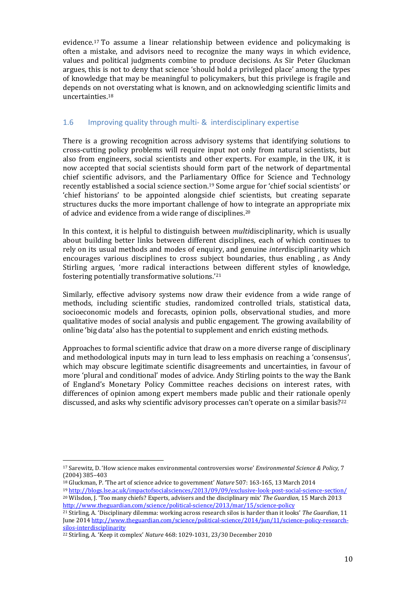evidence.[17](#page-9-1) To assume a linear relationship between evidence and policymaking is often a mistake, and advisors need to recognize the many ways in which evidence, values and political judgments combine to produce decisions. As Sir Peter Gluckman argues, this is not to deny that science 'should hold a privileged place' among the types of knowledge that may be meaningful to policymakers, but this privilege is fragile and depends on n[ot](#page-9-2) overstating what is known, and on acknowledging scientific limits and uncertainties.18

## <span id="page-9-0"></span>1.6 Improving quality through multi- & interdisciplinary expertise

There is a growing recognition across advisory systems that identifying solutions to cross-cutting policy problems will require input not only from natural scientists, but also from engineers, social scientists and other experts. For example, in the UK, it is now accepted that social scientists should form part of the network of departmental chief scientific advisors, and the Parliam[ent](#page-9-3)ary Office for Science and Technology recently established a social science section.19 Some argue for 'chief social scientists' or 'chief historians' to be appointed alongside chief scientists, but creating separate structures ducks the more important challenge of how [to](#page-9-4) integrate an appropriate mix of advice and evidence from a wide range of disciplines.20

In this context, it is helpful to distinguish between *multi*disciplinarity, which is usually about building better links between different disciplines, each of which continues to rely on its usual methods and modes of enquiry, and genuine *inter*disciplinarity which encourages various disciplines to cross subject boundaries, thus enabling , as Andy Stirling argues, 'more radical interactions [bet](#page-9-5)ween different styles of knowledge, fostering potentially transformative solutions.'21

Similarly, effective advisory systems now draw their evidence from a wide range of methods, including scientific studies, randomized controlled trials, statistical data, socioeconomic models and forecasts, opinion polls, observational studies, and more qualitative modes of social analysis and public engagement. The growing availability of online 'big data' also has the potential to supplement and enrich existing methods.

Approaches to formal scientific advice that draw on a more diverse range of disciplinary and methodological inputs may in turn lead to less emphasis on reaching a 'consensus', which may obscure legitimate scientific disagreements and uncertainties, in favour of more 'plural and conditional' modes of advice. Andy Stirling points to the way the Bank of England's Monetary Policy Committee reaches decisions on interest rates, with differences of opinion among expert members made public and their rationale openly discussed, and asks why scientific advisory processes can't operate on a similar basis?<sup>[22](#page-9-6)</sup>

<span id="page-9-1"></span><sup>17</sup> Sarewitz, D. 'How science makes environmental controversies worse' *Environmental Science & Policy,* 7 (2004) 385–403 j

<span id="page-9-2"></span><sup>18</sup> Gluckman, P. 'The art of science advice to government' *Nature* 507: 163-165, 13 March 2014

<span id="page-9-4"></span><span id="page-9-3"></span><sup>19</sup> <http://blogs.lse.ac.uk/impactofsocialsciences/2013/09/09/exclusive-look-post-social-science-section/> <sup>20</sup> Wilsdon, J. 'Too many chiefs? Experts, advisers and the disciplinary mix' *The Guardian*, 15 March 2013 <http://www.theguardian.com/science/political-science/2013/mar/15/science-policy>

<span id="page-9-5"></span><sup>21</sup> Stirling, A. 'Disciplinary dilemma: working across research silos is harder than it looks' *The Guardian*, 11 June 201[4 http://www.theguardian.com/science/political-science/2014/jun/11/science-policy-research](http://www.theguardian.com/science/political-science/2014/jun/11/science-policy-research-silos-interdisciplinarity)[silos-interdisciplinarity](http://www.theguardian.com/science/political-science/2014/jun/11/science-policy-research-silos-interdisciplinarity)

<span id="page-9-6"></span><sup>22</sup> Stirling, A. 'Keep it complex' *Nature* 468: 1029-1031, 23/30 December 2010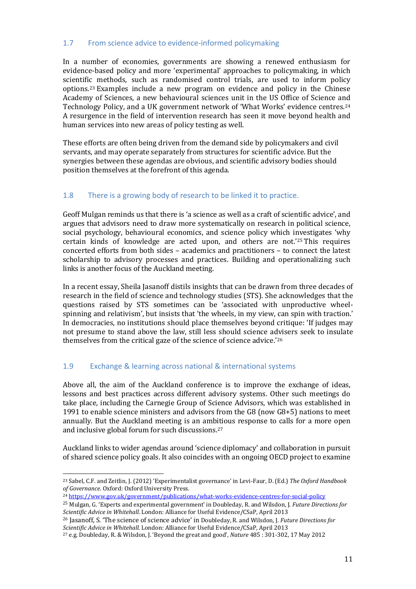# <span id="page-10-0"></span>1.7 From science advice to evidence-informed policymaking

In a number of economies, governments are showing a renewed enthusiasm for evidence-based policy and more 'experimental' approaches to policymaking, in which scientific methods, such as randomised control trials, are used to inform policy options.[23](#page-10-3) Examples include a new program on evidence and policy in the Chinese Academy of Sciences, a new behavioural sciences unit in the US Office of Science and Technology Policy, and a UK government network of 'What Works' evidence centres.[24](#page-10-4) A resurgence in the field of intervention research has seen it move beyond health and human services into new areas of policy testing as well.

These efforts are often being driven from the demand side by policymakers and civil servants, and may operate separately from structures for scientific advice. But the synergies between these agendas are obvious, and scientific advisory bodies should position themselves at the forefront of this agenda.

# <span id="page-10-1"></span>1.8 There is a growing body of research to be linked it to practice.

Geoff Mulgan reminds us that there is 'a science as well as a craft of scientific advice', and argues that advisors need to draw more systematically on research in political science, social psychology, behavioural economics, and science policy which i[nv](#page-10-5)estigates 'why certain kinds of knowledge are acted upon, and others are not.'25 This requires concerted efforts from both sides – academics and practitioners – to connect the latest scholarship to advisory processes and practices. Building and operationalizing such links is another focus of the Auckland meeting.

In a recent essay, Sheila Jasanoff distils insights that can be drawn from three decades of research in the field of science and technology studies (STS). She acknowledges that the questions raised by STS sometimes can be 'associated with unproductive wheelspinning and relativism', but insists that 'the wheels, in my view, can spin with traction.' In democracies, no institutions should place themselves beyond critique: 'If judges may not presume to stand above the law, still less should science advisers seek to insulate themselves from the critical gaze of the science of science advice.['26](#page-10-6)

# <span id="page-10-2"></span>1.9 Exchange & learning across national & international systems

Above all, the aim of the Auckland conference is to improve the exchange of ideas, lessons and best practices across different advisory systems. Other such meetings do take place, including the Carnegie Group of Science Advisors, which was established in 1991 to enable science ministers and advisors from the G8 (now G8+5) nations to meet annually. But the Auckland meeting is an ambitious response to calls for a more open and inclusive global forum for such discussions[.27](#page-10-7)

Auckland links to wider agendas around 'science diplomacy' and collaboration in pursuit of shared science policy goals. It also coincides with an ongoing OECD project to examine

<span id="page-10-3"></span><sup>23</sup> Sabel, C.F. and Zeitlin, J. (2012) 'Experimentalist governance' in Levi-Faur, D. (Ed.) *The Oxford Handbook of Governance*. Oxford: Oxford University Press. l

<span id="page-10-4"></span><sup>24</sup> <https://www.gov.uk/government/publications/what-works-evidence-centres-for-social-policy>

<span id="page-10-5"></span><sup>25</sup> Mulgan, G. 'Experts and experimental government' in Doubleday, R. and Wilsdon, J. *Future Directions for Scientific Advice in Whitehall*. London: Alliance for Useful Evidence/CSaP, April 2013

<span id="page-10-6"></span><sup>26</sup> Jasanoff, S. 'The science of science advice' in Doubleday, R. and Wilsdon, J. *Future Directions for Scientific Advice in Whitehall*. London: Alliance for Useful Evidence/CSaP, April 2013

<span id="page-10-7"></span><sup>27</sup> e.g. Doubleday, R. & Wilsdon, J. 'Beyond the great and good', *Nature* 485 : 301-302, 17 May 2012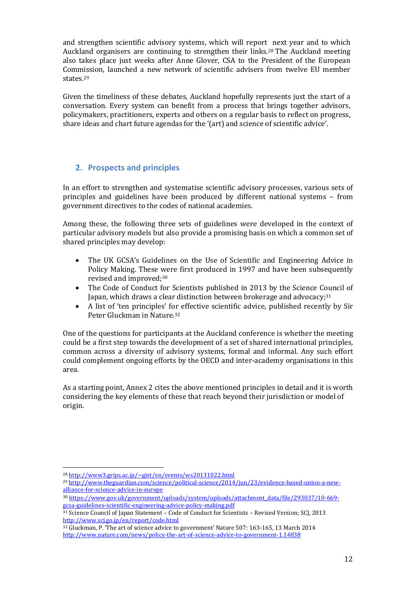and strengthen scientific advisory systems, which will report next year and to which Auckland organisers are continuing to strengthen their links.[28](#page-11-1) The Auckland meeting also takes place just weeks after Anne Glover, CSA to the President of the European Com[miss](#page-11-2)ion, launched a new network of scientific advisers from twelve EU member states.29

Given the timeliness of these debates, Auckland hopefully represents just the start of a conversation. Every system can benefit from a process that brings together advisors, policymakers, practitioners, experts and others on a regular basis to reflect on progress, share ideas and chart future agendas for the '(art) and science of scientific advice'.

# <span id="page-11-0"></span>**2. Prospects and principles**

In an effort to strengthen and systematise scientific advisory processes, various sets of principles and guidelines have been produced by different national systems – from government directives to the codes of national academies.

Among these, the following three sets of guidelines were developed in the context of particular advisory models but also provide a promising basis on which a common set of shared principles may develop:

- The UK GCSA's Guidelines on the Use of Scientific and Engineering Advice in Policy Making. These were first produced in 1997 and have been subsequently revised and improved;[30](#page-11-3)
- The Code of Conduct for Scientists published in 2013 by the Science Council of Japan, which draws a clear distinction between brokerage and advocacy; $31$
- A list of 'ten principles' f[or](#page-11-5) effective scientific advice, published recently by Sir Peter Gluckman in Nature.32

One of the questions for participants at the Auckland conference is whether the meeting could be a first step towards the development of a set of shared international principles, common across a diversity of advisory systems, formal and informal. Any such effort could complement ongoing efforts by the OECD and inter-academy organisations in this area.

As a starting point, Annex 2 cites the above mentioned principles in detail and it is worth considering the key elements of these that reach beyond their jurisdiction or model of origin.

<sup>28</sup> [http://www3.grips.ac.jp/~gist/en/events/ws20131022.html](http://www3.grips.ac.jp/%7Egist/en/events/ws20131022.html) i<br>I

<span id="page-11-2"></span><span id="page-11-1"></span><sup>29</sup> [http://www.theguardian.com/science/political-science/2014/jun/23/evidence-based-union-a-new](http://www.theguardian.com/science/political-science/2014/jun/23/evidence-based-union-a-new-alliance-for-science-advice-in-europe)[alliance-for-science-advice-in-europe](http://www.theguardian.com/science/political-science/2014/jun/23/evidence-based-union-a-new-alliance-for-science-advice-in-europe)

<span id="page-11-3"></span><sup>30</sup> [https://www.gov.uk/government/uploads/system/uploads/attachment\\_data/file/293037/10-669](https://www.gov.uk/government/uploads/system/uploads/attachment_data/file/293037/10-669-gcsa-guidelines-scientific-engineering-advice-policy-making.pdf) [gcsa-guidelines-scientific-engineering-advice-policy-making.pdf](https://www.gov.uk/government/uploads/system/uploads/attachment_data/file/293037/10-669-gcsa-guidelines-scientific-engineering-advice-policy-making.pdf)

<span id="page-11-4"></span><sup>31</sup> Science Council of Japan Statement – Code of Conduct for Scientists – Revised Version; SCJ, 2013 <http://www.scj.go.jp/en/report/code.html>

<span id="page-11-5"></span><sup>32</sup> Gluckman, P. 'The art of science advice to government' Nature 507: 163-165, 13 March 2014 <http://www.nature.com/news/policy-the-art-of-science-advice-to-government-1.14838>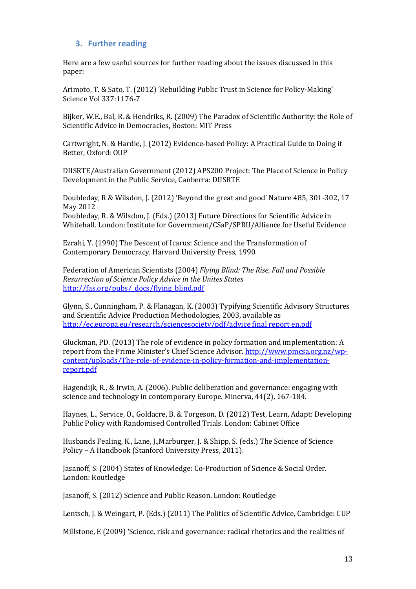# <span id="page-12-0"></span>**3. Further reading**

Here are a few useful sources for further reading about the issues discussed in this paper:

Arimoto, T. & Sato, T. (2012) 'Rebuilding Public Trust in Science for Policy-Making' Science Vol 337:1176-7

Bijker, W.E., Bal, R. & Hendriks, R. (2009) The Paradox of Scientific Authority: the Role of Scientific Advice in Democracies, Boston: MIT Press

Cartwright, N. & Hardie, J. (2012) Evidence-based Policy: A Practical Guide to Doing it Better, Oxford: OUP

DIISRTE/Australian Government (2012) APS200 Project: The Place of Science in Policy Development in the Public Service, Canberra: DIISRTE

Doubleday, R & Wilsdon, J. (2012) 'Beyond the great and good' Nature 485, 301-302, 17 May 2012

Doubleday, R. & Wilsdon, J. (Eds.) (2013) Future Directions for Scientific Advice in Whitehall. London: Institute for Government/CSaP/SPRU/Alliance for Useful Evidence

Ezrahi, Y. (1990) The Descent of Icarus: Science and the Transformation of Contemporary Democracy, Harvard University Press, 1990

Federation of American Scientists (2004) *Flying Blind: The Rise, Fall and Possible Resurrection of Science Policy Advice in the Unites States* [http://fas.org/pubs/\\_docs/flying\\_blind.pdf](http://fas.org/pubs/_docs/flying_blind.pdf)

Glynn, S., Cunningham, P. & Flanagan, K. (2003) Typifying Scientific Advisory Structures and Scientific Advice Production Methodologies, 2003, available as [http://ec.europa.eu/research/sciencesociety/pdf/advice final report en.pdf](http://ec.europa.eu/research/sciencesociety/pdf/advice%20final%20report%20en.pdf)

Gluckman, PD. (2013) The role of evidence in policy formation and implementation: A report from the Prime Minister's Chief Science Advisor[. http://www.pmcsa.org.nz/wp](http://www.pmcsa.org.nz/wp-content/uploads/The-role-of-evidence-in-policy-formation-and-implementation-report.pdf)[content/uploads/The-role-of-evidence-in-policy-formation-and-implementation](http://www.pmcsa.org.nz/wp-content/uploads/The-role-of-evidence-in-policy-formation-and-implementation-report.pdf)[report.pdf](http://www.pmcsa.org.nz/wp-content/uploads/The-role-of-evidence-in-policy-formation-and-implementation-report.pdf)

Hagendijk, R., & Irwin, A. (2006). Public deliberation and governance: engaging with science and technology in contemporary Europe. Minerva, 44(2), 167-184.

Haynes, L., Service, O., Goldacre, B. & Torgeson, D. (2012) Test, Learn, Adapt: Developing Public Policy with Randomised Controlled Trials. London: Cabinet Office

Husbands Fealing, K., Lane, J.,Marburger, J. & Shipp, S. (eds.) The Science of Science Policy – A Handbook (Stanford University Press, 2011).

Jasanoff, S. (2004) States of Knowledge: Co-Production of Science & Social Order. London: Routledge

Jasanoff, S. (2012) Science and Public Reason. London: Routledge

Lentsch, J. & Weingart, P. (Eds.) (2011) The Politics of Scientific Advice, Cambridge: CUP

Millstone, E (2009) 'Science, risk and governance: radical rhetorics and the realities of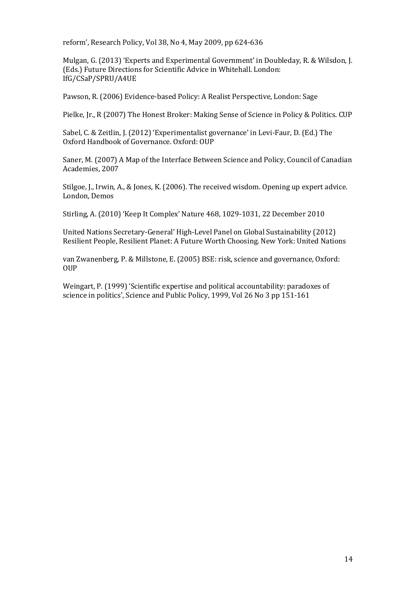reform', Research Policy, Vol 38, No 4, May 2009, pp 624-636

Mulgan, G. (2013) 'Experts and Experimental Government' in Doubleday, R. & Wilsdon, J. (Eds.) Future Directions for Scientific Advice in Whitehall. London: IfG/CSaP/SPRU/A4UE

Pawson, R. (2006) Evidence-based Policy: A Realist Perspective, London: Sage

Pielke, Jr., R (2007) The Honest Broker: Making Sense of Science in Policy & Politics. CUP

Sabel, C. & Zeitlin, J. (2012) 'Experimentalist governance' in Levi-Faur, D. (Ed.) The Oxford Handbook of Governance. Oxford: OUP

Saner, M. (2007) A Map of the Interface Between Science and Policy, Council of Canadian Academies, 2007

Stilgoe, J., Irwin, A., & Jones, K. (2006). The received wisdom. Opening up expert advice. London, Demos

Stirling, A. (2010) 'Keep It Complex' Nature 468, 1029-1031, 22 December 2010

United Nations Secretary-General' High-Level Panel on Global Sustainability (2012) Resilient People, Resilient Planet: A Future Worth Choosing. New York: United Nations

van Zwanenberg, P. & Millstone, E. (2005) BSE: risk, science and governance, Oxford: OUP

Weingart, P. (1999) 'Scientific expertise and political accountability: paradoxes of science in politics', Science and Public Policy, 1999, Vol 26 No 3 pp 151-161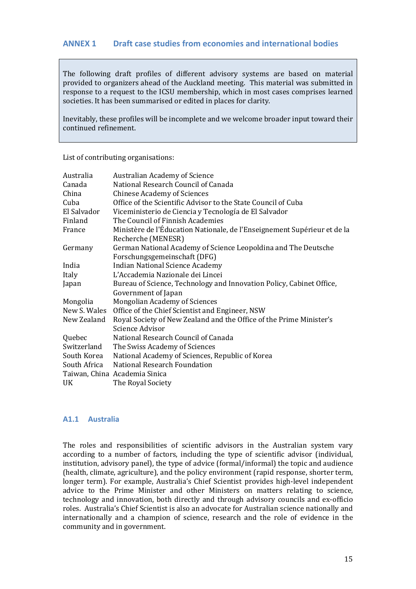# <span id="page-14-0"></span>**ANNEX 1 Draft case studies from economies and international bodies**

The following draft profiles of different advisory systems are based on material provided to organizers ahead of the Auckland meeting. This material was submitted in response to a request to the ICSU membership, which in most cases comprises learned societies. It has been summarised or edited in places for clarity.

Inevitably, these profiles will be incomplete and we welcome broader input toward their continued refinement.

List of contributing organisations:

| <b>Australian Academy of Science</b>                                     |
|--------------------------------------------------------------------------|
| National Research Council of Canada                                      |
| <b>Chinese Academy of Sciences</b>                                       |
| Office of the Scientific Advisor to the State Council of Cuba            |
| Viceministerio de Ciencia y Tecnología de El Salvador                    |
| The Council of Finnish Academies                                         |
| Ministère de l'Éducation Nationale, de l'Enseignement Supérieur et de la |
| Recherche (MENESR)                                                       |
| German National Academy of Science Leopoldina and The Deutsche           |
| Forschungsgemeinschaft (DFG)                                             |
| <b>Indian National Science Academy</b>                                   |
| L'Accademia Nazionale dei Lincei                                         |
| Bureau of Science, Technology and Innovation Policy, Cabinet Office,     |
| Government of Japan                                                      |
| Mongolian Academy of Sciences                                            |
| New S. Wales Office of the Chief Scientist and Engineer, NSW             |
| Royal Society of New Zealand and the Office of the Prime Minister's      |
| Science Advisor                                                          |
| National Research Council of Canada                                      |
| The Swiss Academy of Sciences                                            |
| National Academy of Sciences, Republic of Korea                          |
| <b>National Research Foundation</b>                                      |
| Taiwan, China Academia Sinica                                            |
| The Royal Society                                                        |
|                                                                          |

#### <span id="page-14-1"></span>**A1.1 Australia**

The roles and responsibilities of scientific advisors in the Australian system vary according to a number of factors, including the type of scientific advisor (individual, institution, advisory panel), the type of advice (formal/informal) the topic and audience (health, climate, agriculture), and the policy environment (rapid response, shorter term, longer term). For example, Australia's Chief Scientist provides high-level independent advice to the Prime Minister and other Ministers on matters relating to science, technology and innovation, both directly and through advisory councils and ex-officio roles. Australia's Chief Scientist is also an advocate for Australian science nationally and internationally and a champion of science, research and the role of evidence in the community and in government.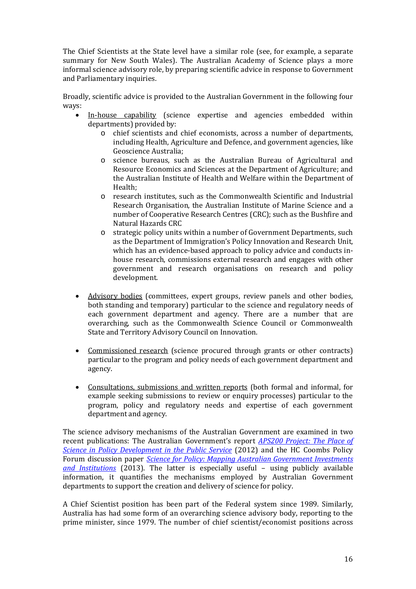The Chief Scientists at the State level have a similar role (see, for example, a separate summary for New South Wales). The Australian Academy of Science plays a more informal science advisory role, by preparing scientific advice in response to Government and Parliamentary inquiries.

Broadly, scientific advice is provided to the Australian Government in the following four ways:

- In-house capability (science expertise and agencies embedded within departments) provided by:
	- o chief scientists and chief economists, across a number of departments, including Health, Agriculture and Defence, and government agencies, like Geoscience Australia;
	- o science bureaus, such as the Australian Bureau of Agricultural and Resource Economics and Sciences at the Department of Agriculture; and the Australian Institute of Health and Welfare within the Department of Health;
	- o research institutes, such as the Commonwealth Scientific and Industrial Research Organisation, the Australian Institute of Marine Science and a number of Cooperative Research Centres (CRC); such as the Bushfire and Natural Hazards CRC
	- o strategic policy units within a number of Government Departments, such as the Department of Immigration's Policy Innovation and Research Unit, which has an evidence-based approach to policy advice and conducts inhouse research, commissions external research and engages with other government and research organisations on research and policy development.
- Advisory bodies (committees, expert groups, review panels and other bodies, both standing and temporary) particular to the science and regulatory needs of each government department and agency. There are a number that are overarching, such as the Commonwealth Science Council or Commonwealth State and Territory Advisory Council on Innovation.
- Commissioned research (science procured through grants or other contracts) particular to the program and policy needs of each government department and agency.
- Consultations, submissions and written reports (both formal and informal, for example seeking submissions to review or enquiry processes) particular to the program, policy and regulatory needs and expertise of each government department and agency.

The science advisory mechanisms of the Australian Government are examined in two recent publications: The Australian Government's report *[APS200 Project: The Place of](http://www.innovation.gov.au/Science/Pages/APS200ProjectScienceinPolicy.aspx)  [Science in Policy Development in the Public Service](http://www.innovation.gov.au/Science/Pages/APS200ProjectScienceinPolicy.aspx)* (2012) and the HC Coombs Policy Forum discussion paper *[Science for Policy: Mapping Australian Government Investments](https://crawford.anu.edu.au/public_policy_community/content/doc/APS200-Science-for-Policy-mapping-report.pdf)  [and Institutions](https://crawford.anu.edu.au/public_policy_community/content/doc/APS200-Science-for-Policy-mapping-report.pdf)* (2013). The latter is especially useful – using publicly available information, it quantifies the mechanisms employed by Australian Government departments to support the creation and delivery of science for policy.

A Chief Scientist position has been part of the Federal system since 1989. Similarly, Australia has had some form of an overarching science advisory body, reporting to the prime minister, since 1979. The number of chief scientist/economist positions across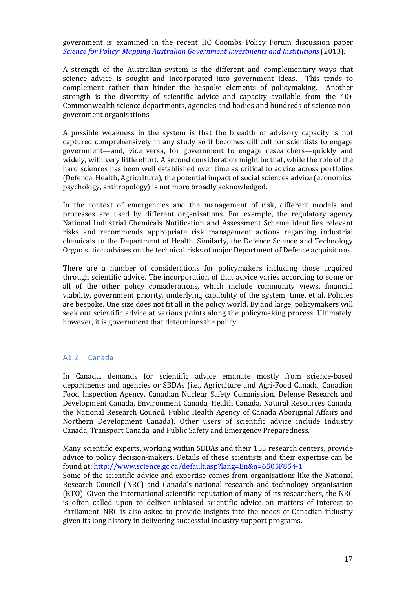government is examined in the recent HC Coombs Policy Forum discussion paper *[Science for Policy: Mapping Australian Government Investments and Institutions](https://crawford.anu.edu.au/public_policy_community/content/doc/APS200-Science-for-Policy-mapping-report.pdf)* (2013).

A strength of the Australian system is the different and complementary ways that science advice is sought and incorporated into government ideas. This tends to complement rather than hinder the bespoke elements of policymaking. Another complement rather than hinder the bespoke elements of policymaking. strength is the diversity of scientific advice and capacity available from the 40+ Commonwealth science departments, agencies and bodies and hundreds of science nongovernment organisations.

A possible weakness in the system is that the breadth of advisory capacity is not captured comprehensively in any study so it becomes difficult for scientists to engage government—and, vice versa, for government to engage researchers—quickly and widely, with very little effort. A second consideration might be that, while the role of the hard sciences has been well established over time as critical to advice across portfolios (Defence, Health, Agriculture), the potential impact of social sciences advice (economics, psychology, anthropology) is not more broadly acknowledged.

In the context of emergencies and the management of risk, different models and processes are used by different organisations. For example, the regulatory agency National Industrial Chemicals Notification and Assessment Scheme identifies relevant risks and recommends appropriate risk management actions regarding industrial chemicals to the Department of Health. Similarly, the Defence Science and Technology Organisation advises on the technical risks of major Department of Defence acquisitions.

There are a number of considerations for policymakers including those acquired through scientific advice. The incorporation of that advice varies according to some or all of the other policy considerations, which include community views, financial viability, government priority, underlying capability of the system, time, et al. Policies are bespoke. One size does not fit all in the policy world. By and large, policymakers will seek out scientific advice at various points along the policymaking process. Ultimately, however, it is government that determines the policy.

# <span id="page-16-0"></span>A1.2 Canada

In Canada, demands for scientific advice emanate mostly from science-based departments and agencies or SBDAs (i.e., Agriculture and Agri-Food Canada, Canadian Food Inspection Agency, Canadian Nuclear Safety Commission, Defense Research and Development Canada, Environment Canada, Health Canada, Natural Resources Canada, the National Research Council, Public Health Agency of Canada Aboriginal Affairs and Northern Development Canada). Other users of scientific advice include Industry Canada, Transport Canada, and Public Safety and Emergency Preparedness.

Many scientific experts, working within SBDAs and their 155 research centers, provide advice to policy decision-makers. Details of these scientists and their expertise can be found at: http://www.science.gc.ca/default.asp?lang=En&n=6505F854-1 Some of the scientific advice and expertise comes from organisations like the National Research Council (NRC) and Canada's national research and technology organisation (RTO). Given the international scientific reputation of many of its researchers, the NRC is often called upon to deliver unbiased scientific advice on matters of interest to Parliament. NRC is also asked to provide insights into the needs of Canadian industry given its long history in delivering successful industry support programs.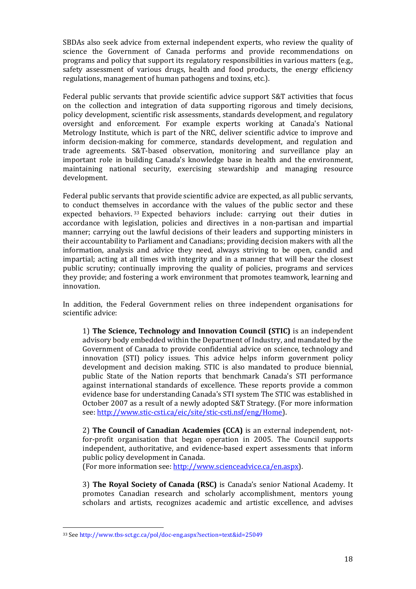SBDAs also seek advice from external independent experts, who review the quality of science the Government of Canada performs and provide recommendations on programs and policy that support its regulatory responsibilities in various matters (e.g., safety assessment of various drugs, health and food products, the energy efficiency regulations, management of human pathogens and toxins, etc.).

Federal public servants that provide scientific advice support S&T activities that focus on the collection and integration of data supporting rigorous and timely decisions, policy development, scientific risk assessments, standards development, and regulatory oversight and enforcement. For example experts working at Canada's National Metrology Institute, which is part of the NRC, deliver scientific advice to improve and inform decision-making for commerce, standards development, and regulation and trade agreements. S&T-based observation, monitoring and surveillance play an important role in building Canada's knowledge base in health and the environment, maintaining national security, exercising stewardship and managing resource development.

Federal public servants that provide scientific advice are expected, as all public servants, to conduct themselv[es](#page-17-0) in accordance with the values of the public sector and these expected behaviors. <sup>33</sup> Expected behaviors include: carrying out their duties in accordance with legislation, policies and directives in a non-partisan and impartial manner; carrying out the lawful decisions of their leaders and supporting ministers in their accountability to Parliament and Canadians; providing decision makers with all the information, analysis and advice they need, always striving to be open, candid and impartial; acting at all times with integrity and in a manner that will bear the closest public scrutiny; continually improving the quality of policies, programs and services they provide; and fostering a work environment that promotes teamwork, learning and innovation.

In addition, the Federal Government relies on three independent organisations for scientific advice:

1) **The Science, Technology and Innovation Council (STIC)** is an independent advisory body embedded within the Department of Industry, and mandated by the Government of Canada to provide confidential advice on science, technology and innovation (STI) policy issues. This advice helps inform government policy development and decision making. STIC is also mandated to produce biennial, public State of the Nation reports that benchmark Canada's STI performance against international standards of excellence. These reports provide a common evidence base for understanding Canada's STI system The STIC was established in October 2007 as a result of a newly adopted S&T Strategy. (For more information see: [http://www.stic-csti.ca/eic/site/stic-csti.nsf/eng/Home\)](http://www.stic-csti.ca/eic/site/stic-csti.nsf/eng/Home).

2) **The Council of Canadian Academies (CCA)** is an external independent, notfor-profit organisation that began operation in 2005. The Council supports independent, authoritative, and evidence-based expert assessments that inform public policy development in Canada.

(For more information see: [http://www.scienceadvice.ca/en.aspx\)](http://www.scienceadvice.ca/en.aspx).

3) **The Royal Society of Canada (RSC)** is Canada's senior National Academy. It promotes Canadian research and scholarly accomplishment, mentors young scholars and artists, recognizes academic and artistic excellence, and advises

<span id="page-17-0"></span><sup>33</sup> See http://www.tbs-sct.gc.ca/pol/doc-eng.aspx?section=text&id=25049 l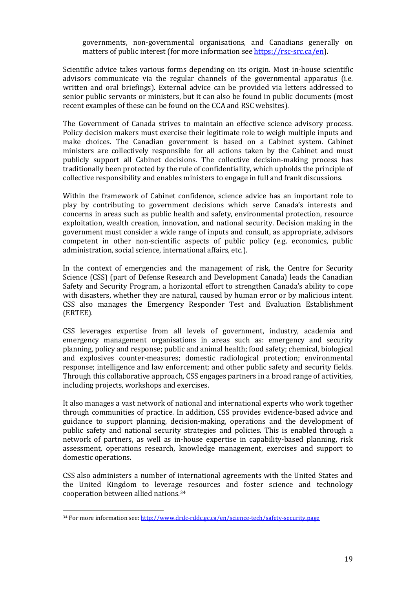governments, non-governmental organisations, and Canadians generally on matters of public interest (for more information see [https://rsc-src.ca/en\)](https://rsc-src.ca/en).

Scientific advice takes various forms depending on its origin. Most in-house scientific advisors communicate via the regular channels of the governmental apparatus (i.e. written and oral briefings). External advice can be provided via letters addressed to senior public servants or ministers, but it can also be found in public documents (most recent examples of these can be found on the CCA and RSC websites).

The Government of Canada strives to maintain an effective science advisory process. Policy decision makers must exercise their legitimate role to weigh multiple inputs and make choices. The Canadian government is based on a Cabinet system. Cabinet ministers are collectively responsible for all actions taken by the Cabinet and must publicly support all Cabinet decisions. The collective decision-making process has traditionally been protected by the rule of confidentiality, which upholds the principle of collective responsibility and enables ministers to engage in full and frank discussions.

Within the framework of Cabinet confidence, science advice has an important role to play by contributing to government decisions which serve Canada's interests and concerns in areas such as public health and safety, environmental protection, resource exploitation, wealth creation, innovation, and national security. Decision making in the government must consider a wide range of inputs and consult, as appropriate, advisors competent in other non-scientific aspects of public policy (e.g. economics, public administration, social science, international affairs, etc.).

In the context of emergencies and the management of risk, the Centre for Security Science (CSS) (part of Defense Research and Development Canada) leads the Canadian Safety and Security Program, a horizontal effort to strengthen Canada's ability to cope with disasters, whether they are natural, caused by human error or by malicious intent. CSS also manages the Emergency Responder Test and Evaluation Establishment (ERTEE).

CSS leverages expertise from all levels of government, industry, academia and emergency management organisations in areas such as: emergency and security planning, policy and response; public and animal health; food safety; chemical, biological and explosives counter-measures; domestic radiological protection; environmental response; intelligence and law enforcement; and other public safety and security fields. Through this collaborative approach, CSS engages partners in a broad range of activities, including projects, workshops and exercises.

It also manages a vast network of national and international experts who work together through communities of practice. In addition, CSS provides evidence-based advice and guidance to support planning, decision-making, operations and the development of public safety and national security strategies and policies. This is enabled through a network of partners, as well as in-house expertise in capability-based planning, risk assessment, operations research, knowledge management, exercises and support to domestic operations.

CSS also administers a number of international agreements with the United States and the United Kingdom to leverag[e](#page-18-0) resources and foster science and technology cooperation between allied nations.34

<span id="page-18-0"></span><sup>&</sup>lt;sup>34</sup> For more information see: <u><http://www.drdc-rddc.gc.ca/en/science-tech/safety-security.page></u> l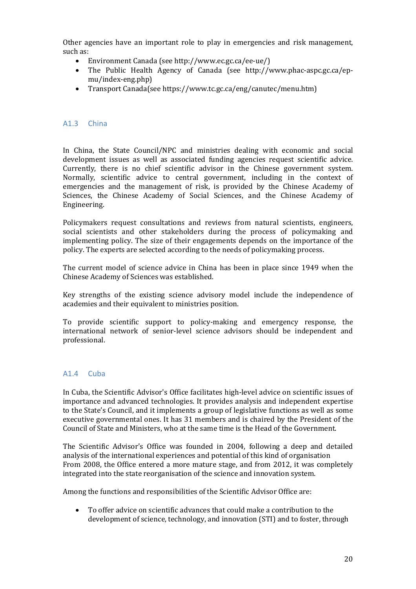Other agencies have an important role to play in emergencies and risk management, such as:

- Environment Canada (see http://www.ec.gc.ca/ee-ue/)
- The Public Health Agency of Canada (see http://www.phac-aspc.gc.ca/epmu/index-eng.php)
- Transport Canada(see https://www.tc.gc.ca/eng/canutec/menu.htm)

#### <span id="page-19-0"></span>A1.3 China

In China, the State Council/NPC and ministries dealing with economic and social development issues as well as associated funding agencies request scientific advice. Currently, there is no chief scientific advisor in the Chinese government system. Normally, scientific advice to central government, including in the context of emergencies and the management of risk, is provided by the Chinese Academy of Sciences, the Chinese Academy of Social Sciences, and the Chinese Academy of Engineering.

Policymakers request consultations and reviews from natural scientists, engineers, social scientists and other stakeholders during the process of policymaking and implementing policy. The size of their engagements depends on the importance of the policy. The experts are selected according to the needs of policymaking process.

The current model of science advice in China has been in place since 1949 when the Chinese Academy of Sciences was established.

Key strengths of the existing science advisory model include the independence of academies and their equivalent to ministries position.

To provide scientific support to policy-making and emergency response, the international network of senior-level science advisors should be independent and professional.

#### <span id="page-19-1"></span>A1.4 Cuba

In Cuba, the Scientific Advisor's Office facilitates high-level advice on scientific issues of importance and advanced technologies. It provides analysis and independent expertise to the State's Council, and it implements a group of legislative functions as well as some executive governmental ones. It has 31 members and is chaired by the President of the Council of State and Ministers, who at the same time is the Head of the Government.

The Scientific Advisor's Office was founded in 2004, following a deep and detailed analysis of the international experiences and potential of this kind of organisation From 2008, the Office entered a more mature stage, and from 2012, it was completely integrated into the state reorganisation of the science and innovation system.

Among the functions and responsibilities of the Scientific Advisor Office are:

• To offer advice on scientific advances that could make a contribution to the development of science, technology, and innovation (STI) and to foster, through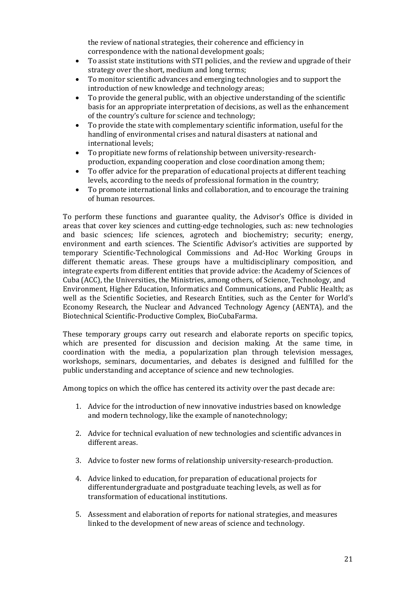the review of national strategies, their coherence and efficiency in correspondence with the national development goals;

- To assist state institutions with STI policies, and the review and upgrade of their strategy over the short, medium and long terms;
- To monitor scientific advances and emerging technologies and to support the introduction of new knowledge and technology areas;
- To provide the general public, with an objective understanding of the scientific basis for an appropriate interpretation of decisions, as well as the enhancement of the country's culture for science and technology;
- To provide the state with complementary scientific information, useful for the handling of environmental crises and natural disasters at national and international levels;
- To propitiate new forms of relationship between university-researchproduction, expanding cooperation and close coordination among them;
- To offer advice for the preparation of educational projects at different teaching levels, according to the needs of professional formation in the country;
- To promote international links and collaboration, and to encourage the training of human resources.

To perform these functions and guarantee quality, the Advisor's Office is divided in areas that cover key sciences and cutting-edge technologies, such as: new technologies and basic sciences; life sciences, agrotech and biochemistry; security; energy, environment and earth sciences. The Scientific Advisor's activities are supported by temporary Scientific-Technological Commissions and Ad-Hoc Working Groups in different thematic areas. These groups have a multidisciplinary composition, and integrate experts from different entities that provide advice: the Academy of Sciences of Cuba (ACC), the Universities, the Ministries, among others, of Science, Technology, and Environment, Higher Education, Informatics and Communications, and Public Health; as well as the Scientific Societies, and Research Entities, such as the Center for World's Economy Research, the Nuclear and Advanced Technology Agency (AENTA), and the Biotechnical Scientific-Productive Complex, BioCubaFarma.

These temporary groups carry out research and elaborate reports on specific topics, which are presented for discussion and decision making. At the same time, in coordination with the media, a popularization plan through television messages, workshops, seminars, documentaries, and debates is designed and fulfilled for the public understanding and acceptance of science and new technologies.

Among topics on which the office has centered its activity over the past decade are:

- 1. Advice for the introduction of new innovative industries based on knowledge and modern technology, like the example of nanotechnology;
- 2. Advice for technical evaluation of new technologies and scientific advances in different areas.
- 3. Advice to foster new forms of relationship university-research-production.
- 4. Advice linked to education, for preparation of educational projects for differentundergraduate and postgraduate teaching levels, as well as for transformation of educational institutions.
- 5. Assessment and elaboration of reports for national strategies, and measures linked to the development of new areas of science and technology.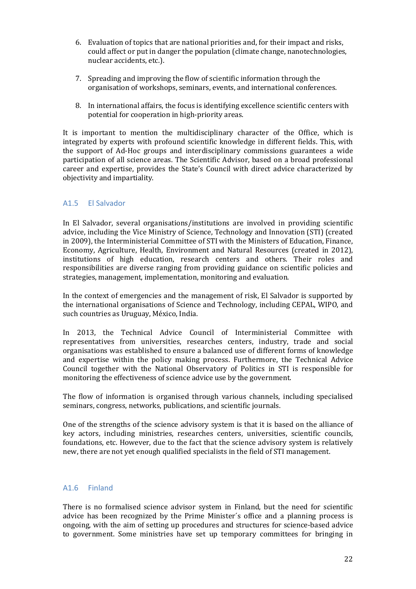- 6. Evaluation of topics that are national priorities and, for their impact and risks, could affect or put in danger the population (climate change, nanotechnologies, nuclear accidents, etc.).
- 7. Spreading and improving the flow of scientific information through the organisation of workshops, seminars, events, and international conferences.
- 8. In international affairs, the focus is identifying excellence scientific centers with potential for cooperation in high-priority areas.

It is important to mention the multidisciplinary character of the Office, which is integrated by experts with profound scientific knowledge in different fields. This, with the support of Ad-Hoc groups and interdisciplinary commissions guarantees a wide participation of all science areas. The Scientific Advisor, based on a broad professional career and expertise, provides the State's Council with direct advice characterized by objectivity and impartiality.

# <span id="page-21-0"></span>A1.5 El Salvador

In El Salvador, several organisations/institutions are involved in providing scientific advice, including the Vice Ministry of Science, Technology and Innovation (STI) (created in 2009), the Interministerial Committee of STI with the Ministers of Education, Finance, Economy, Agriculture, Health, Environment and Natural Resources (created in 2012), institutions of high education, research centers and others. Their roles and responsibilities are diverse ranging from providing guidance on scientific policies and strategies, management, implementation, monitoring and evaluation.

In the context of emergencies and the management of risk, El Salvador is supported by the international organisations of Science and Technology, including CEPAL, WIPO, and such countries as Uruguay, México, India.

In 2013, the Technical Advice Council of Interministerial Committee with representatives from universities, researches centers, industry, trade and social organisations was established to ensure a balanced use of different forms of knowledge and expertise within the policy making process. Furthermore, the Technical Advice Council together with the National Observatory of Politics in STI is responsible for monitoring the effectiveness of science advice use by the government.

The flow of information is organised through various channels, including specialised seminars, congress, networks, publications, and scientific journals.

One of the strengths of the science advisory system is that it is based on the alliance of key actors, including ministries, researches centers, universities, scientific councils, foundations, etc. However, due to the fact that the science advisory system is relatively new, there are not yet enough qualified specialists in the field of STI management.

# <span id="page-21-1"></span>A1.6 Finland

There is no formalised science advisor system in Finland, but the need for scientific advice has been recognized by the Prime Minister´s office and a planning process is ongoing, with the aim of setting up procedures and structures for science-based advice to government. Some ministries have set up temporary committees for bringing in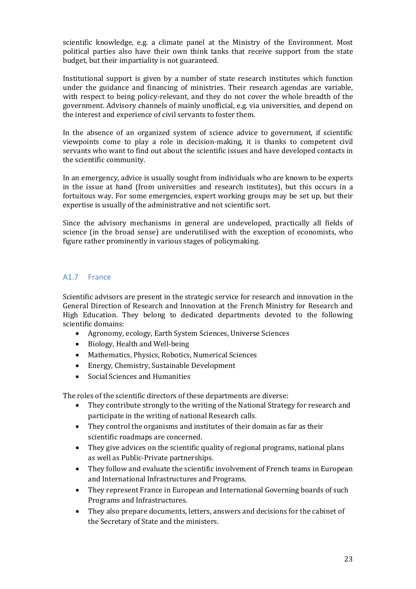scientific knowledge, e.g. a climate panel at the Ministry of the Environment. Most political parties also have their own think tanks that receive support from the state budget, but their impartiality is not guaranteed.

Institutional support is given by a number of state research institutes which function under the guidance and financing of ministries. Their research agendas are variable, with respect to being policy-relevant, and they do not cover the whole breadth of the government. Advisory channels of mainly unofficial, e.g. via universities, and depend on the interest and experience of civil servants to foster them.

In the absence of an organized system of science advice to government, if scientific viewpoints come to play a role in decision-making, it is thanks to competent civil servants who want to find out about the scientific issues and have developed contacts in the scientific community.

In an emergency, advice is usually sought from individuals who are known to be experts in the issue at hand (from universities and research institutes), but this occurs in a fortuitous way. For some emergencies, expert working groups may be set up, but their expertise is usually of the administrative and not scientific sort.

Since the advisory mechanisms in general are undeveloped, practically all fields of science (in the broad sense) are underutilised with the exception of economists, who figure rather prominently in various stages of policymaking.

# <span id="page-22-0"></span>A1.7 France

Scientific advisors are present in the strategic service for research and innovation in the General Direction of Research and Innovation at the French Ministry for Research and High Education. They belong to dedicated departments devoted to the following scientific domains:

- Agronomy, ecology, Earth System Sciences, Universe Sciences
- Biology, Health and Well-being
- Mathematics, Physics, Robotics, Numerical Sciences
- Energy, Chemistry, Sustainable Development
- Social Sciences and Humanities

The roles of the scientific directors of these departments are diverse:

- They contribute strongly to the writing of the National Strategy for research and participate in the writing of national Research calls.
- They control the organisms and institutes of their domain as far as their scientific roadmaps are concerned.
- They give advices on the scientific quality of regional programs, national plans as well as Public-Private partnerships.
- They follow and evaluate the scientific involvement of French teams in European and International Infrastructures and Programs.
- They represent France in European and International Governing boards of such Programs and Infrastructures.
- They also prepare documents, letters, answers and decisions for the cabinet of the Secretary of State and the ministers.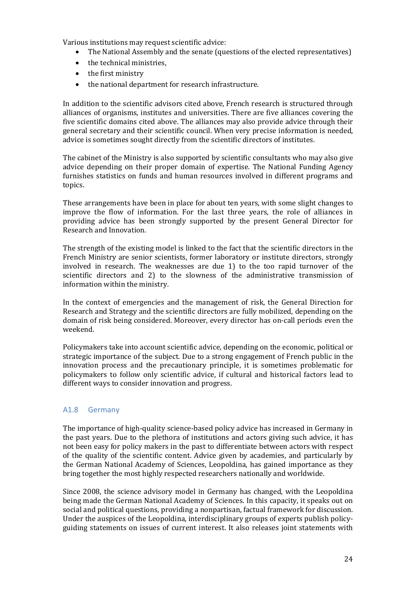Various institutions may request scientific advice:<br>
• The National Assembly and the senate foue

- The National Assembly and the senate (questions of the elected representatives)
- the technical ministries,
- the first ministry
- the national department for research infrastructure.

In addition to the scientific advisors cited above, French research is structured through alliances of organisms, institutes and universities. There are five alliances covering the five scientific domains cited above. The alliances may also provide advice through their general secretary and their scientific council. When very precise information is needed, advice is sometimes sought directly from the scientific directors of institutes.

The cabinet of the Ministry is also supported by scientific consultants who may also give advice depending on their proper domain of expertise. The National Funding Agency furnishes statistics on funds and human resources involved in different programs and topics.

These arrangements have been in place for about ten years, with some slight changes to improve the flow of information. For the last three years, the role of alliances in providing advice has been strongly supported by the present General Director for Research and Innovation.

The strength of the existing model is linked to the fact that the scientific directors in the French Ministry are senior scientists, former laboratory or institute directors, strongly involved in research. The weaknesses are due 1) to the too rapid turnover of the scientific directors and 2) to the slowness of the administrative transmission of information within the ministry.

In the context of emergencies and the management of risk, the General Direction for Research and Strategy and the scientific directors are fully mobilized, depending on the domain of risk being considered. Moreover, every director has on-call periods even the weekend.

Policymakers take into account scientific advice, depending on the economic, political or strategic importance of the subject. Due to a strong engagement of French public in the innovation process and the precautionary principle, it is sometimes problematic for policymakers to follow only scientific advice, if cultural and historical factors lead to different ways to consider innovation and progress.

# <span id="page-23-0"></span>A1.8 Germany

The importance of high-quality science-based policy advice has increased in Germany in the past years. Due to the plethora of institutions and actors giving such advice, it has not been easy for policy makers in the past to differentiate between actors with respect of the quality of the scientific content. Advice given by academies, and particularly by the German National Academy of Sciences, Leopoldina, has gained importance as they bring together the most highly respected researchers nationally and worldwide.

Since 2008, the science advisory model in Germany has changed, with the Leopoldina being made the German National Academy of Sciences. In this capacity, it speaks out on social and political questions, providing a nonpartisan, factual framework for discussion. Under the auspices of the Leopoldina, interdisciplinary groups of experts publish policyguiding statements on issues of current interest. It also releases joint statements with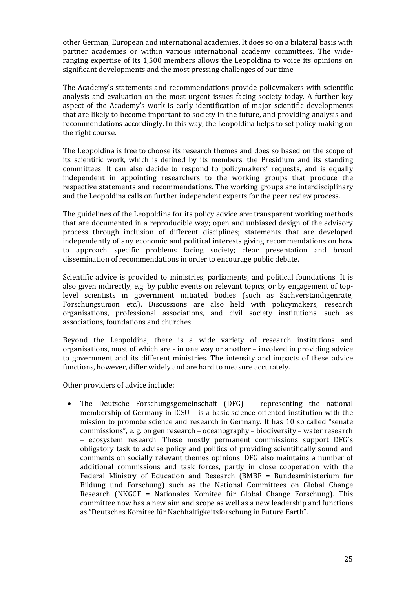other German, European and international academies. It does so on a bilateral basis with partner academies or within various international academy committees. The wideranging expertise of its 1,500 members allows the Leopoldina to voice its opinions on significant developments and the most pressing challenges of our time.

The Academy's statements and recommendations provide policymakers with scientific analysis and evaluation on the most urgent issues facing society today. A further key aspect of the Academy's work is early identification of major scientific developments that are likely to become important to society in the future, and providing analysis and recommendations accordingly. In this way, the Leopoldina helps to set policy-making on the right course.

The Leopoldina is free to choose its research themes and does so based on the scope of its scientific work, which is defined by its members, the Presidium and its standing committees. It can also decide to respond to policymakers' requests, and is equally independent in appointing researchers to the working groups that produce the respective statements and recommendations. The working groups are interdisciplinary and the Leopoldina calls on further independent experts for the peer review process.

The guidelines of the Leopoldina for its policy advice are: transparent working methods that are documented in a reproducible way; open and unbiased design of the advisory process through inclusion of different disciplines; statements that are developed independently of any economic and political interests giving recommendations on how to approach specific problems facing society; clear presentation and broad dissemination of recommendations in order to encourage public debate.

Scientific advice is provided to ministries, parliaments, and political foundations. It is also given indirectly, e.g. by public events on relevant topics, or by engagement of toplevel scientists in government initiated bodies (such as Sachverständigenräte, Forschungsunion etc.). Discussions are also held with policymakers, research organisations, professional associations, and civil society institutions, such as associations, foundations and churches.

Beyond the Leopoldina, there is a wide variety of research institutions and organisations, most of which are - in one way or another – involved in providing advice to government and its different ministries. The intensity and impacts of these advice functions, however, differ widely and are hard to measure accurately.

Other providers of advice include:

• The Deutsche Forschungsgemeinschaft (DFG) – representing the national membership of Germany in ICSU – is a basic science oriented institution with the mission to promote science and research in Germany. It has 10 so called "senate commissions", e. g. on gen research – oceanography – biodiversity – water research – ecosystem research. These mostly permanent commissions support DFG`s obligatory task to advise policy and politics of providing scientifically sound and comments on socially relevant themes opinions. DFG also maintains a number of additional commissions and task forces, partly in close cooperation with the Federal Ministry of Education and Research (BMBF = Bundesministerium für Bildung und Forschung) such as the National Committees on Global Change Research (NKGCF = Nationales Komitee für Global Change Forschung). This committee now has a new aim and scope as well as a new leadership and functions as "Deutsches Komitee für Nachhaltigkeitsforschung in Future Earth".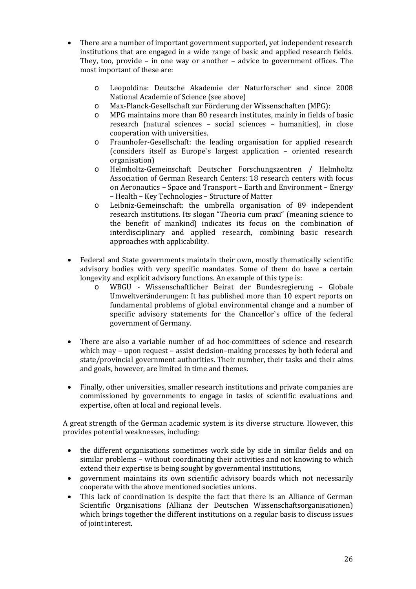- There are a number of important government supported, yet independent research institutions that are engaged in a wide range of basic and applied research fields. They, too, provide – in one way or another – advice to government offices. The most important of these are:
	- o Leopoldina: Deutsche Akademie der Naturforscher and since 2008 National Academie of Science (see above)
	- o Max-Planck-Gesellschaft zur Förderung der Wissenschaften (MPG):<br>
	o MPG maintains more than 80 research institutes, mainly in fields of
	- MPG maintains more than 80 research institutes, mainly in fields of basic research (natural sciences – social sciences – humanities), in close cooperation with universities.
	- o Fraunhofer-Gesellschaft: the leading organisation for applied research (considers itself as Europe`s largest application – oriented research organisation)
	- o Helmholtz-Gemeinschaft Deutscher Forschungszentren / Helmholtz Association of German Research Centers: 18 research centers with focus on Aeronautics – Space and Transport – Earth and Environment – Energy – Health – Key Technologies – Structure of Matter
	- o Leibniz-Gemeinschaft: the umbrella organisation of 89 independent research institutions. Its slogan "Theoria cum praxi" (meaning science to the benefit of mankind) indicates its focus on the combination of interdisciplinary and applied research, combining basic research approaches with applicability.
- Federal and State governments maintain their own, mostly thematically scientific advisory bodies with very specific mandates. Some of them do have a certain longevity and explicit advisory functions. An example of this type is:
	- WBGU Wissenschaftlicher Beirat der Bundesregierung Globale Umweltveränderungen: It has published more than 10 expert reports on fundamental problems of global environmental change and a number of specific advisory statements for the Chancellor`s office of the federal government of Germany.
- There are also a variable number of ad hoc-committees of science and research which may – upon request – assist decision–making processes by both federal and state/provincial government authorities. Their number, their tasks and their aims and goals, however, are limited in time and themes.
- Finally, other universities, smaller research institutions and private companies are commissioned by governments to engage in tasks of scientific evaluations and expertise, often at local and regional levels.

A great strength of the German academic system is its diverse structure. However, this provides potential weaknesses, including:

- the different organisations sometimes work side by side in similar fields and on similar problems – without coordinating their activities and not knowing to which extend their expertise is being sought by governmental institutions,
- government maintains its own scientific advisory boards which not necessarily cooperate with the above mentioned societies unions.
- This lack of coordination is despite the fact that there is an Alliance of German Scientific Organisations (Allianz der Deutschen Wissenschaftsorganisationen) which brings together the different institutions on a regular basis to discuss issues of joint interest.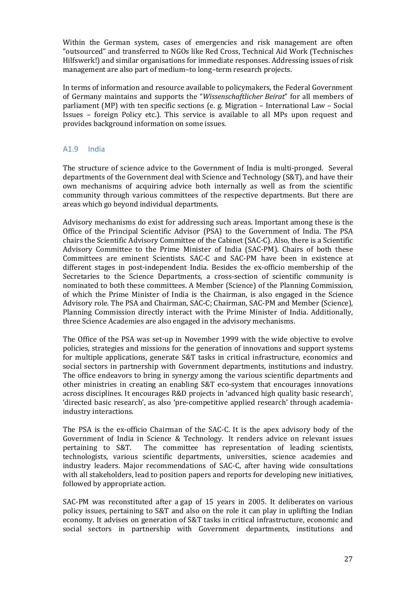Within the German system, cases of emergencies and risk management are often "outsourced" and transferred to NGOs like Red Cross, Technical Aid Work (Technisches Hilfswerk!) and similar organisations for immediate responses. Addressing issues of risk management are also part of medium–to long–term research projects.

In terms of information and resource available to policymakers, the Federal Government of Germany maintains and supports the "*Wissenschaftlicher Beirat*" for all members of parliament (MP) with ten specific sections (e. g. Migration – International Law – Social Issues – foreign Policy etc.). This service is available to all MPs upon request and provides background information on some issues.

# <span id="page-26-0"></span>A1.9 India

The structure of science advice to the Government of India is multi-pronged. Several departments of the Government deal with Science and Technology (S&T), and have their own mechanisms of acquiring advice both internally as well as from the scientific community through various committees of the respective departments. But there are areas which go beyond individual departments.

Advisory mechanisms do exist for addressing such areas. Important among these is the Office of the Principal Scientific Advisor (PSA) to the Government of India. The PSA chairs the Scientific Advisory Committee of the Cabinet (SAC-C). Also, there is a Scientific Advisory Committee to the Prime Minister of India (SAC-PM). Chairs of both these Committees are eminent Scientists. SAC-C and SAC-PM have been in existence at different stages in post-independent India. Besides the ex-officio membership of the Secretaries to the Science Departments, a cross-section of scientific community is nominated to both these committees. A Member (Science) of the Planning Commission, of which the Prime Minister of India is the Chairman, is also engaged in the Science Advisory role. The PSA and Chairman, SAC-C; Chairman, SAC-PM and Member (Science), Planning Commission directly interact with the Prime Minister of India. Additionally, three Science Academies are also engaged in the advisory mechanisms.

The Office of the PSA was set-up in November 1999 with the wide objective to evolve policies, strategies and missions for the generation of innovations and support systems for multiple applications, generate S&T tasks in critical infrastructure, economics and social sectors in partnership with Government departments, institutions and industry. The office endeavors to bring in synergy among the various scientific departments and other ministries in creating an enabling S&T eco-system that encourages innovations across disciplines. It encourages R&D projects in 'advanced high quality basic research', 'directed basic research', as also 'pre-competitive applied research' through academiaindustry interactions.

The PSA is the ex-officio Chairman of the SAC-C. It is the apex advisory body of the Government of India in Science & Technology. It renders advice on relevant issues pertaining to S&T. The committee has representation of leading scientists, The committee has representation of leading scientists, technologists, various scientific departments, universities, science academies and industry leaders. Major recommendations of SAC-C, after having wide consultations with all stakeholders, lead to position papers and reports for developing new initiatives, followed by appropriate action.

SAC-PM was reconstituted after a gap of 15 years in 2005. It deliberates on various policy issues, pertaining to S&T and also on the role it can play in uplifting the Indian economy. It advises on generation of S&T tasks in critical infrastructure, economic and social sectors in partnership with Government departments, institutions and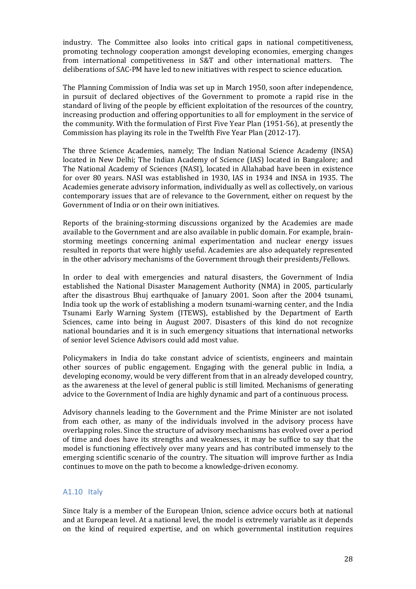industry. The Committee also looks into critical gaps in national competitiveness, promoting technology cooperation amongst developing economies, emerging changes from international competitiveness in S&T and other international matters. The deliberations of SAC-PM have led to new initiatives with respect to science education.

The Planning Commission of India was set up in March 1950, soon after independence, in pursuit of declared objectives of the Government to promote a rapid rise in the standard of living of the people by efficient exploitation of the resources of the country, increasing production and offering opportunities to all for employment in the service of the community. With the formulation of First Five Year Plan (1951-56), at presently the Commission has playing its role in the Twelfth Five Year Plan (2012-17).

The three Science Academies, namely; The Indian National Science Academy (INSA) located in New Delhi; The Indian Academy of Science (IAS) located in Bangalore; and The National Academy of Sciences (NASI), located in Allahabad have been in existence for over 80 years. NASI was established in 1930, IAS in 1934 and INSA in 1935. The Academies generate advisory information, individually as well as collectively, on various contemporary issues that are of relevance to the Government, either on request by the Government of India or on their own initiatives.

Reports of the braining-storming discussions organized by the Academies are made available to the Government and are also available in public domain. For example, brainstorming meetings concerning animal experimentation and nuclear energy issues resulted in reports that were highly useful. Academies are also adequately represented in the other advisory mechanisms of the Government through their presidents/Fellows.

In order to deal with emergencies and natural disasters, the Government of India established the National Disaster Management Authority (NMA) in 2005, particularly after the disastrous Bhuj earthquake of January 2001. Soon after the 2004 tsunami, India took up the work of establishing a modern tsunami-warning center, and the India Tsunami Early Warning System (ITEWS), established by the Department of Earth Sciences, came into being in August 2007. Disasters of this kind do not recognize national boundaries and it is in such emergency situations that international networks of senior level Science Advisors could add most value.

Policymakers in India do take constant advice of scientists, engineers and maintain other sources of public engagement. Engaging with the general public in India, a developing economy, would be very different from that in an already developed country, as the awareness at the level of general public is still limited. Mechanisms of generating advice to the Government of India are highly dynamic and part of a continuous process.

Advisory channels leading to the Government and the Prime Minister are not isolated from each other, as many of the individuals involved in the advisory process have overlapping roles. Since the structure of advisory mechanisms has evolved over a period of time and does have its strengths and weaknesses, it may be suffice to say that the model is functioning effectively over many years and has contributed immensely to the emerging scientific scenario of the country. The situation will improve further as India continues to move on the path to become a knowledge-driven economy.

# <span id="page-27-0"></span>A1.10 Italy

Since Italy is a member of the European Union, science advice occurs both at national and at European level. At a national level, the model is extremely variable as it depends on the kind of required expertise, and on which governmental institution requires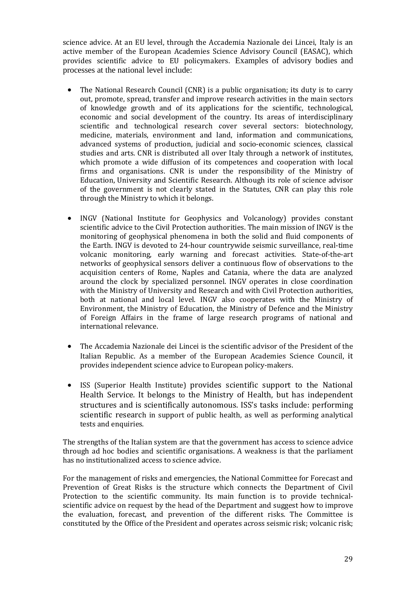science advice. At an EU level, through the Accademia Nazionale dei Lincei, Italy is an active member of the European Academies Science Advisory Council (EASAC), which provides scientific advice to EU policymakers. Examples of advisory bodies and processes at the national level include:

- The National Research Council (CNR) is a public organisation; its duty is to carry out, promote, spread, transfer and improve research activities in the main sectors of knowledge growth and of its applications for the scientific, technological, economic and social development of the country. Its areas of interdisciplinary scientific and technological research cover several sectors: biotechnology, medicine, materials, environment and land, information and communications, advanced systems of production, judicial and socio-economic sciences, classical studies and arts. CNR is distributed all over Italy through a network of institutes, which promote a wide diffusion of its competences and cooperation with local firms and organisations. CNR is under the responsibility of the Ministry of Education, University and Scientific Research. Although its role of science advisor of the government is not clearly stated in the Statutes, CNR can play this role through the Ministry to which it belongs.
- INGV (National Institute for Geophysics and Volcanology) provides constant scientific advice to the Civil Protection authorities. The main mission of INGV is the monitoring of geophysical phenomena in both the solid and fluid components of the Earth. INGV is devoted to 24-hour countrywide seismic surveillance, real-time volcanic monitoring, early warning and forecast activities. State-of-the-art networks of geophysical sensors deliver a continuous flow of observations to the acquisition centers of Rome, Naples and Catania, where the data are analyzed around the clock by specialized personnel. INGV operates in close coordination with the Ministry of University and Research and with Civil Protection authorities, both at national and local level. INGV also cooperates with the Ministry of Environment, the Ministry of Education, the Ministry of Defence and the Ministry of Foreign Affairs in the frame of large research programs of national and international relevance.
- The Accademia Nazionale dei Lincei is the scientific advisor of the President of the Italian Republic. As a member of the European Academies Science Council, it provides independent science advice to European policy-makers.
- ISS (Superior Health Institute) provides scientific support to the National Health Service. It belongs to the Ministry of Health, but has independent structures and is scientifically autonomous. ISS's tasks include: performing scientific research in support of public health, as well as performing analytical tests and enquiries.

The strengths of the Italian system are that the government has access to science advice through ad hoc bodies and scientific organisations. A weakness is that the parliament has no institutionalized access to science advice.

For the management of risks and emergencies, the National Committee for Forecast and Prevention of Great Risks is the structure which connects the Department of Civil Protection to the scientific community. Its main function is to provide technicalscientific advice on request by the head of the Department and suggest how to improve the evaluation, forecast, and prevention of the different risks. The Committee is constituted by the Office of the President and operates across seismic risk; volcanic risk;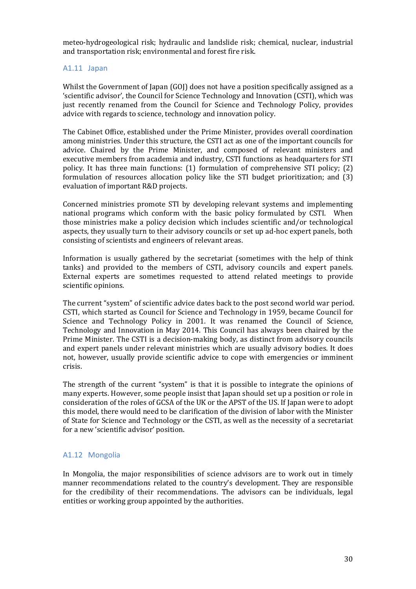meteo-hydrogeological risk; hydraulic and landslide risk; chemical, nuclear, industrial and transportation risk; environmental and forest fire risk.

# <span id="page-29-0"></span>A1.11 Japan

Whilst the Government of Japan (GOJ) does not have a position specifically assigned as a 'scientific advisor', the Council for Science Technology and Innovation (CSTI), which was just recently renamed from the Council for Science and Technology Policy, provides advice with regards to science, technology and innovation policy.

The Cabinet Office, established under the Prime Minister, provides overall coordination among ministries. Under this structure, the CSTI act as one of the important councils for advice. Chaired by the Prime Minister, and composed of relevant ministers and executive members from academia and industry, CSTI functions as headquarters for STI policy. It has three main functions: (1) formulation of comprehensive STI policy; (2) formulation of resources allocation policy like the STI budget prioritization; and (3) evaluation of important R&D projects.

Concerned ministries promote STI by developing relevant systems and implementing national programs which conform with the basic policy formulated by CSTI. When those ministries make a policy decision which includes scientific and/or technological aspects, they usually turn to their advisory councils or set up ad-hoc expert panels, both consisting of scientists and engineers of relevant areas.

Information is usually gathered by the secretariat (sometimes with the help of think tanks) and provided to the members of CSTI, advisory councils and expert panels. External experts are sometimes requested to attend related meetings to provide scientific opinions.

The current "system" of scientific advice dates back to the post second world war period. CSTI, which started as Council for Science and Technology in 1959, became Council for Science and Technology Policy in 2001. It was renamed the Council of Science, Technology and Innovation in May 2014. This Council has always been chaired by the Prime Minister. The CSTI is a decision-making body, as distinct from advisory councils and expert panels under relevant ministries which are usually advisory bodies. It does not, however, usually provide scientific advice to cope with emergencies or imminent crisis.

The strength of the current "system" is that it is possible to integrate the opinions of many experts. However, some people insist that Japan should set up a position or role in consideration of the roles of GCSA of the UK or the APST of the US. If Japan were to adopt this model, there would need to be clarification of the division of labor with the Minister of State for Science and Technology or the CSTI, as well as the necessity of a secretariat for a new 'scientific advisor' position.

# <span id="page-29-1"></span>A1.12 Mongolia

In Mongolia, the major responsibilities of science advisors are to work out in timely manner recommendations related to the country's development. They are responsible for the credibility of their recommendations. The advisors can be individuals, legal entities or working group appointed by the authorities.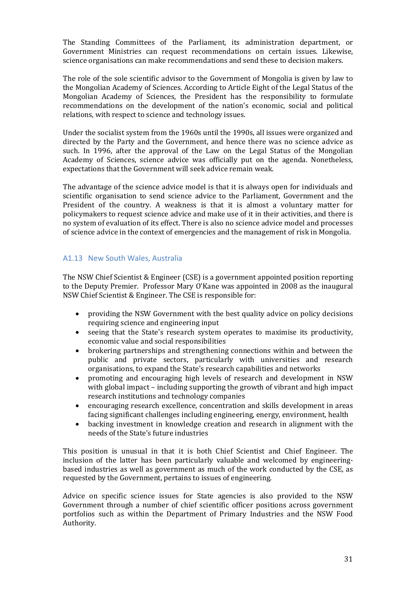The Standing Committees of the Parliament, its administration department, or Government Ministries can request recommendations on certain issues. Likewise, science organisations can make recommendations and send these to decision makers.

The role of the sole scientific advisor to the Government of Mongolia is given by law to the Mongolian Academy of Sciences. According to Article Eight of the Legal Status of the Mongolian Academy of Sciences, the President has the responsibility to formulate recommendations on the development of the nation's economic, social and political relations, with respect to science and technology issues.

Under the socialist system from the 1960s until the 1990s, all issues were organized and directed by the Party and the Government, and hence there was no science advice as such. In 1996, after the approval of the Law on the Legal Status of the Mongolian Academy of Sciences, science advice was officially put on the agenda. Nonetheless, expectations that the Government will seek advice remain weak.

The advantage of the science advice model is that it is always open for individuals and scientific organisation to send science advice to the Parliament, Government and the President of the country. A weakness is that it is almost a voluntary matter for policymakers to request science advice and make use of it in their activities, and there is no system of evaluation of its effect. There is also no science advice model and processes of science advice in the context of emergencies and the management of risk in Mongolia.

# <span id="page-30-0"></span>A1.13 New South Wales, Australia

The NSW Chief Scientist & Engineer (CSE) is a government appointed position reporting to the Deputy Premier. Professor Mary O'Kane was appointed in 2008 as the inaugural NSW Chief Scientist & Engineer. The CSE is responsible for:

- providing the NSW Government with the best quality advice on policy decisions requiring science and engineering input
- seeing that the State's research system operates to maximise its productivity, economic value and social responsibilities
- brokering partnerships and strengthening connections within and between the public and private sectors, particularly with universities and research organisations, to expand the State's research capabilities and networks
- promoting and encouraging high levels of research and development in NSW with global impact – including supporting the growth of vibrant and high impact research institutions and technology companies
- encouraging research excellence, concentration and skills development in areas facing significant challenges including engineering, energy, environment, health
- backing investment in knowledge creation and research in alignment with the needs of the State's future industries

This position is unusual in that it is both Chief Scientist and Chief Engineer. The inclusion of the latter has been particularly valuable and welcomed by engineeringbased industries as well as government as much of the work conducted by the CSE, as requested by the Government, pertains to issues of engineering.

Advice on specific science issues for State agencies is also provided to the NSW Government through a number of chief scientific officer positions across government portfolios such as within the Department of Primary Industries and the NSW Food Authority.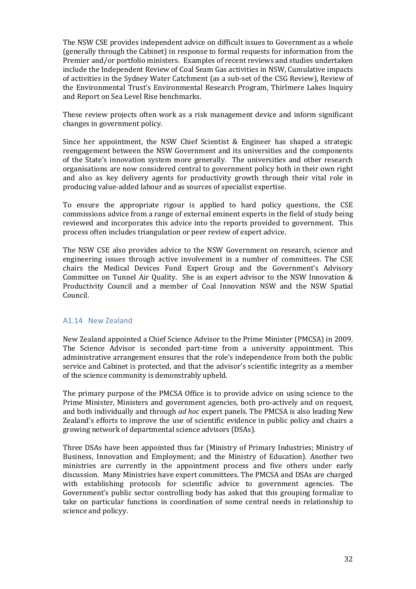The NSW CSE provides independent advice on difficult issues to Government as a whole (generally through the Cabinet) in response to formal requests for information from the Premier and/or portfolio ministers. Examples of recent reviews and studies undertaken include the Independent Review of Coal Seam Gas activities in NSW, Cumulative impacts of activities in the Sydney Water Catchment (as a sub-set of the CSG Review), Review of the Environmental Trust's Environmental Research Program, Thirlmere Lakes Inquiry and Report on Sea Level Rise benchmarks.

These review projects often work as a risk management device and inform significant changes in government policy.

Since her appointment, the NSW Chief Scientist & Engineer has shaped a strategic reengagement between the NSW Government and its universities and the components of the State's innovation system more generally. The universities and other research organisations are now considered central to government policy both in their own right and also as key delivery agents for productivity growth through their vital role in producing value-added labour and as sources of specialist expertise.

To ensure the appropriate rigour is applied to hard policy questions, the CSE commissions advice from a range of external eminent experts in the field of study being reviewed and incorporates this advice into the reports provided to government. This process often includes triangulation or peer review of expert advice.

The NSW CSE also provides advice to the NSW Government on research, science and engineering issues through active involvement in a number of committees. The CSE chairs the Medical Devices Fund Expert Group and the Government's Advisory Committee on Tunnel Air Quality. She is an expert advisor to the NSW Innovation & Productivity Council and a member of Coal Innovation NSW and the NSW Spatial Council.

#### <span id="page-31-0"></span>A1.14 New Zealand

New Zealand appointed a Chief Science Advisor to the Prime Minister (PMCSA) in 2009. The Science Advisor is seconded part-time from a university appointment. This administrative arrangement ensures that the role's independence from both the public service and Cabinet is protected, and that the advisor's scientific integrity as a member of the science community is demonstrably upheld.

The primary purpose of the PMCSA Office is to provide advice on using science to the Prime Minister, Ministers and government agencies, both pro-actively and on request, and both individually and through *ad hoc* expert panels. The PMCSA is also leading New Zealand's efforts to improve the use of scientific evidence in public policy and chairs a growing network of departmental science advisors (DSAs).

Three DSAs have been appointed thus far (Ministry of Primary Industries; Ministry of Business, Innovation and Employment; and the Ministry of Education). Another two ministries are currently in the appointment process and five others under early discussion. Many Ministries have expert committees. The PMCSA and DSAs are charged with establishing protocols for scientific advice to government agencies. The Government's public sector controlling body has asked that this grouping formalize to take on particular functions in coordination of some central needs in relationship to science and policyy.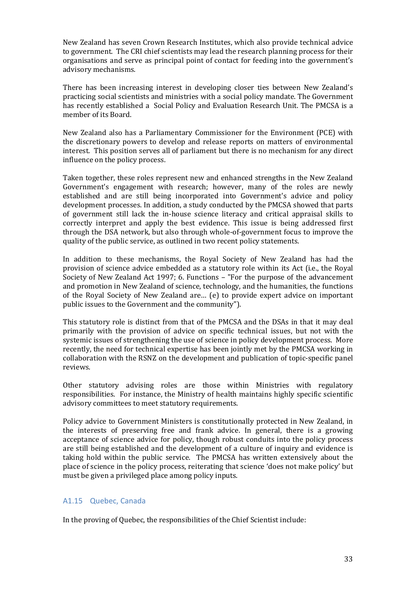New Zealand has seven Crown Research Institutes, which also provide technical advice to government. The CRI chief scientists may lead the research planning process for their organisations and serve as principal point of contact for feeding into the government's advisory mechanisms.

There has been increasing interest in developing closer ties between New Zealand's practicing social scientists and ministries with a social policy mandate. The Government has recently established a Social Policy and Evaluation Research Unit. The PMCSA is a member of its Board.

New Zealand also has a Parliamentary Commissioner for the Environment (PCE) with the discretionary powers to develop and release reports on matters of environmental interest. This position serves all of parliament but there is no mechanism for any direct influence on the policy process.

Taken together, these roles represent new and enhanced strengths in the New Zealand Government's engagement with research; however, many of the roles are newly established and are still being incorporated into Government's advice and policy development processes. In addition, a study conducted by the PMCSA showed that parts of government still lack the in-house science literacy and critical appraisal skills to correctly interpret and apply the best evidence. This issue is being addressed first through the DSA network, but also through whole-of-government focus to improve the quality of the public service, as outlined in two recent policy statements.

In addition to these mechanisms, the Royal Society of New Zealand has had the provision of science advice embedded as a statutory role within its Act (i.e., the Royal Society of New Zealand Act 1997; 6. Functions – "For the purpose of the advancement and promotion in New Zealand of science, technology, and the humanities, the functions of the Royal Society of New Zealand are… (e) to provide expert advice on important public issues to the Government and the community").

This statutory role is distinct from that of the PMCSA and the DSAs in that it may deal primarily with the provision of advice on specific technical issues, but not with the systemic issues of strengthening the use of science in policy development process. More recently, the need for technical expertise has been jointly met by the PMCSA working in collaboration with the RSNZ on the development and publication of topic-specific panel reviews.

Other statutory advising roles are those within Ministries with regulatory responsibilities. For instance, the Ministry of health maintains highly specific scientific advisory committees to meet statutory requirements.

Policy advice to Government Ministers is constitutionally protected in New Zealand, in the interests of preserving free and frank advice. In general, there is a growing acceptance of science advice for policy, though robust conduits into the policy process are still being established and the development of a culture of inquiry and evidence is taking hold within the public service. The PMCSA has written extensively about the place of science in the policy process, reiterating that science 'does not make policy' but must be given a privileged place among policy inputs.

# <span id="page-32-0"></span>A1.15 Quebec, Canada

In the proving of Quebec, the responsibilities of the Chief Scientist include: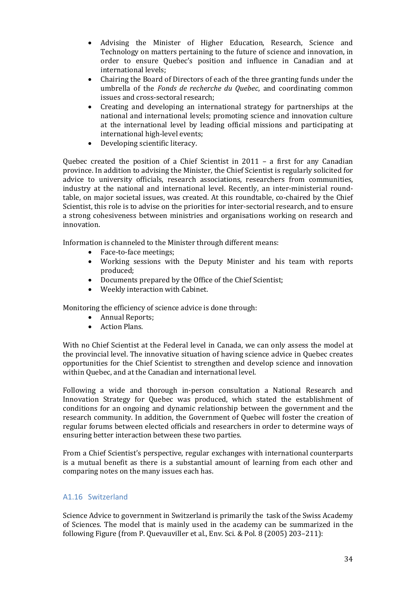- Advising the Minister of Higher Education, Research, Science and Technology on matters pertaining to the future of science and innovation, in order to ensure Quebec's position and influence in Canadian and at international levels;
- Chairing the Board of Directors of each of the three granting funds under the umbrella of the *Fonds de recherche du Quebec*, and coordinating common issues and cross-sectoral research;
- Creating and developing an international strategy for partnerships at the national and international levels; promoting science and innovation culture at the international level by leading official missions and participating at international high-level events;
- Developing scientific literacy.

Quebec created the position of a Chief Scientist in 2011 – a first for any Canadian province. In addition to advising the Minister, the Chief Scientist is regularly solicited for advice to university officials, research associations, researchers from communities, industry at the national and international level. Recently, an inter-ministerial roundtable, on major societal issues, was created. At this roundtable, co-chaired by the Chief Scientist, this role is to advise on the priorities for inter-sectorial research, and to ensure a strong cohesiveness between ministries and organisations working on research and innovation.

Information is channeled to the Minister through different means:

- Face-to-face meetings;
- Working sessions with the Deputy Minister and his team with reports produced;
- Documents prepared by the Office of the Chief Scientist;
- Weekly interaction with Cabinet.

Monitoring the efficiency of science advice is done through:

- Annual Reports;<br>• Action Plans
- Action Plans.

With no Chief Scientist at the Federal level in Canada, we can only assess the model at the provincial level. The innovative situation of having science advice in Quebec creates opportunities for the Chief Scientist to strengthen and develop science and innovation within Quebec, and at the Canadian and international level.

Following a wide and thorough in-person consultation a National Research and Innovation Strategy for Quebec was produced, which stated the establishment of conditions for an ongoing and dynamic relationship between the government and the research community. In addition, the Government of Quebec will foster the creation of regular forums between elected officials and researchers in order to determine ways of ensuring better interaction between these two parties.

From a Chief Scientist's perspective, regular exchanges with international counterparts is a mutual benefit as there is a substantial amount of learning from each other and comparing notes on the many issues each has.

# <span id="page-33-0"></span>A1.16 Switzerland

Science Advice to government in Switzerland is primarily the task of the Swiss Academy of Sciences. The model that is mainly used in the academy can be summarized in the following Figure (from P. Quevauviller et al., Env. Sci. & Pol. 8 (2005) 203–211):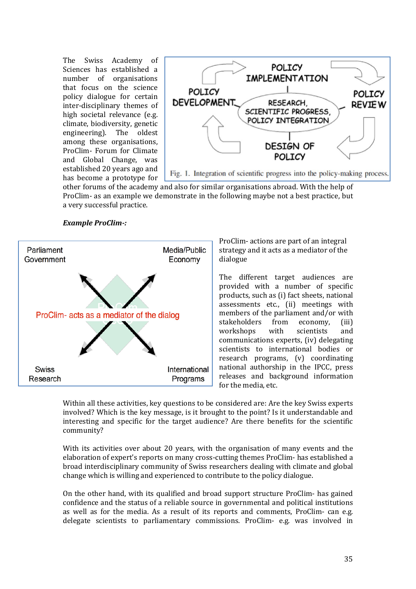The Swiss Academy of Sciences has established a number of organisations that focus on the science policy dialogue for certain inter-disciplinary themes of high societal relevance (e.g. climate, biodiversity, genetic engineering). The oldest among these organisations, ProClim- Forum for Climate and Global Change, was established 20 years ago and has become a prototype for



other forums of the academy and also for similar organisations abroad. With the help of ProClim- as an example we demonstrate in the following maybe not a best practice, but a very successful practice.



*Example ProClim-:*

ProClim- actions are part of an integral strategy and it acts as a mediator of the dialogue

The different target audiences are provided with a number of specific products, such as (i) fact sheets, national assessments etc., (ii) meetings with members of the parliament and/or with<br>stakeholders from economy. (iii) stakeholders from economy, (iii)<br>workshops with scientists and workshops with scientists and communications experts, (iv) delegating scientists to international bodies or research programs, (v) coordinating national authorship in the IPCC, press releases and background information for the media, etc.

Within all these activities, key questions to be considered are: Are the key Swiss experts involved? Which is the key message, is it brought to the point? Is it understandable and interesting and specific for the target audience? Are there benefits for the scientific community?

With its activities over about 20 years, with the organisation of many events and the elaboration of expert's reports on many cross-cutting themes ProClim- has established a broad interdisciplinary community of Swiss researchers dealing with climate and global change which is willing and experienced to contribute to the policy dialogue.

On the other hand, with its qualified and broad support structure ProClim- has gained confidence and the status of a reliable source in governmental and political institutions as well as for the media. As a result of its reports and comments, ProClim- can e.g. delegate scientists to parliamentary commissions. ProClim- e.g. was involved in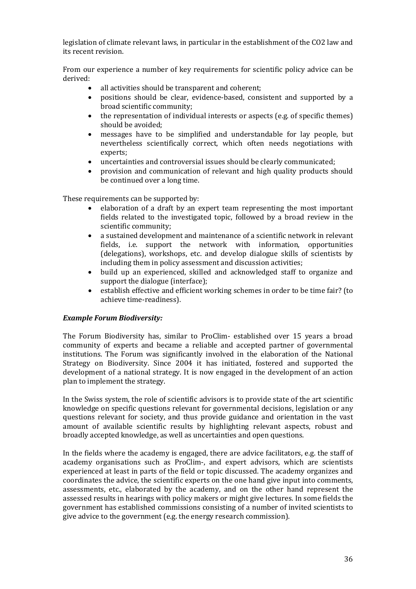legislation of climate relevant laws, in particular in the establishment of the CO2 law and its recent revision.

From our experience a number of key requirements for scientific policy advice can be derived:

- all activities should be transparent and coherent;<br>• nositions should be clear, evidence-based, cons
- positions should be clear, evidence-based, consistent and supported by a broad scientific community;
- the representation of individual interests or aspects (e.g. of specific themes) should be avoided;
- messages have to be simplified and understandable for lay people, but nevertheless scientifically correct, which often needs negotiations with experts;
- uncertainties and controversial issues should be clearly communicated;
- provision and communication of relevant and high quality products should be continued over a long time.

These requirements can be supported by:

- elaboration of a draft by an expert team representing the most important fields related to the investigated topic, followed by a broad review in the scientific community;
- a sustained development and maintenance of a scientific network in relevant fields, i.e. support the network with information, opportunities (delegations), workshops, etc. and develop dialogue skills of scientists by including them in policy assessment and discussion activities;
- build up an experienced, skilled and acknowledged staff to organize and support the dialogue (interface);
- establish effective and efficient working schemes in order to be time fair? (to achieve time-readiness).

# *Example Forum Biodiversity:*

The Forum Biodiversity has, similar to ProClim- established over 15 years a broad community of experts and became a reliable and accepted partner of governmental institutions. The Forum was significantly involved in the elaboration of the National Strategy on Biodiversity. Since 2004 it has initiated, fostered and supported the development of a national strategy. It is now engaged in the development of an action plan to implement the strategy.

In the Swiss system, the role of scientific advisors is to provide state of the art scientific knowledge on specific questions relevant for governmental decisions, legislation or any questions relevant for society, and thus provide guidance and orientation in the vast amount of available scientific results by highlighting relevant aspects, robust and broadly accepted knowledge, as well as uncertainties and open questions.

In the fields where the academy is engaged, there are advice facilitators, e.g. the staff of academy organisations such as ProClim-, and expert advisors, which are scientists experienced at least in parts of the field or topic discussed. The academy organizes and coordinates the advice, the scientific experts on the one hand give input into comments, assessments, etc., elaborated by the academy, and on the other hand represent the assessed results in hearings with policy makers or might give lectures. In some fields the government has established commissions consisting of a number of invited scientists to give advice to the government (e.g. the energy research commission).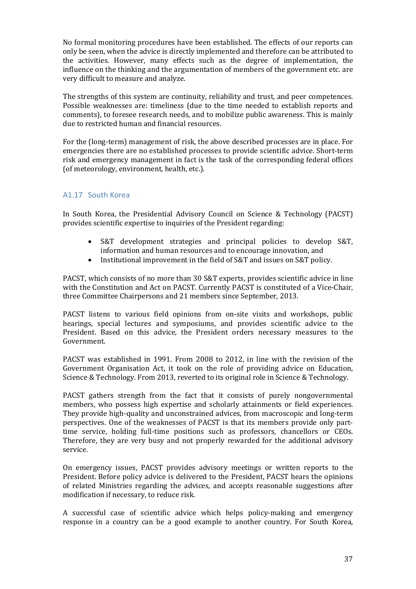No formal monitoring procedures have been established. The effects of our reports can only be seen, when the advice is directly implemented and therefore can be attributed to the activities. However, many effects such as the degree of implementation, the influence on the thinking and the argumentation of members of the government etc. are very difficult to measure and analyze.

The strengths of this system are continuity, reliability and trust, and peer competences. Possible weaknesses are: timeliness (due to the time needed to establish reports and comments), to foresee research needs, and to mobilize public awareness. This is mainly due to restricted human and financial resources.

For the (long-term) management of risk, the above described processes are in place. For emergencies there are no established processes to provide scientific advice. Short-term risk and emergency management in fact is the task of the corresponding federal offices (of meteorology, environment, health, etc.).

# <span id="page-36-0"></span>A1.17 South Korea

In South Korea, the Presidential Advisory Council on Science & Technology (PACST) provides scientific expertise to inquiries of the President regarding:

- S&T development strategies and principal policies to develop S&T, information and human resources and to encourage innovation, and
- Institutional improvement in the field of S&T and issues on S&T policy.

PACST, which consists of no more than 30 S&T experts, provides scientific advice in line with the Constitution and Act on PACST. Currently PACST is constituted of a Vice-Chair, three Committee Chairpersons and 21 members since September, 2013.

PACST listens to various field opinions from on-site visits and workshops, public hearings, special lectures and symposiums, and provides scientific advice to the President. Based on this advice, the President orders necessary measures to the Government.

PACST was established in 1991. From 2008 to 2012, in line with the revision of the Government Organisation Act, it took on the role of providing advice on Education, Science & Technology. From 2013, reverted to its original role in Science & Technology.

PACST gathers strength from the fact that it consists of purely nongovernmental members, who possess high expertise and scholarly attainments or field experiences. They provide high-quality and unconstrained advices, from macroscopic and long-term perspectives. One of the weaknesses of PACST is that its members provide only parttime service, holding full-time positions such as professors, chancellors or CEOs. Therefore, they are very busy and not properly rewarded for the additional advisory service.

On emergency issues, PACST provides advisory meetings or written reports to the President. Before policy advice is delivered to the President, PACST hears the opinions of related Ministries regarding the advices, and accepts reasonable suggestions after modification if necessary, to reduce risk.

A successful case of scientific advice which helps policy-making and emergency response in a country can be a good example to another country. For South Korea,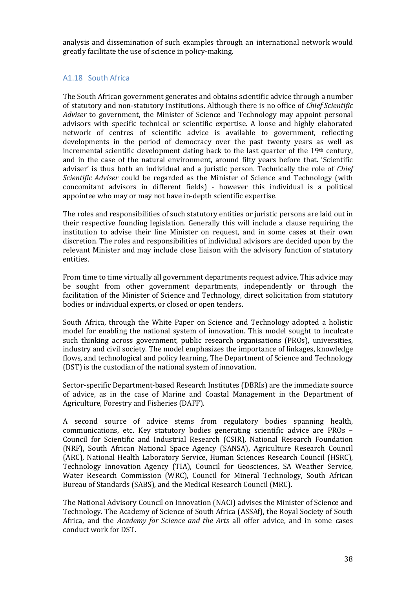analysis and dissemination of such examples through an international network would greatly facilitate the use of science in policy-making.

#### <span id="page-37-0"></span>A1.18 South Africa

The South African government generates and obtains scientific advice through a number of statutory and non-statutory institutions. Although there is no office of *Chief Scientific Adviser* to government, the Minister of Science and Technology may appoint personal advisors with specific technical or scientific expertise. A loose and highly elaborated network of centres of scientific advice is available to government, reflecting developments in the period of democracy over the past twenty years as well as incremental scientific development dating back to the last quarter of the  $19<sup>th</sup>$  century, and in the case of the natural environment, around fifty years before that. 'Scientific adviser' is thus both an individual and a juristic person. Technically the role of *Chief Scientific Adviser* could be regarded as the Minister of Science and Technology (with concomitant advisors in different fields) - however this individual is a political appointee who may or may not have in-depth scientific expertise.

The roles and responsibilities of such statutory entities or juristic persons are laid out in their respective founding legislation. Generally this will include a clause requiring the institution to advise their line Minister on request, and in some cases at their own discretion. The roles and responsibilities of individual advisors are decided upon by the relevant Minister and may include close liaison with the advisory function of statutory entities.

From time to time virtually all government departments request advice. This advice may be sought from other government departments, independently or through the facilitation of the Minister of Science and Technology, direct solicitation from statutory bodies or individual experts, or closed or open tenders.

South Africa, through the White Paper on Science and Technology adopted a holistic model for enabling the national system of innovation. This model sought to inculcate such thinking across government, public research organisations (PROs), universities, industry and civil society. The model emphasizes the importance of linkages, knowledge flows, and technological and policy learning. The Department of Science and Technology (DST) is the custodian of the national system of innovation.

Sector-specific Department-based Research Institutes (DBRIs) are the immediate source of advice, as in the case of Marine and Coastal Management in the Department of Agriculture, Forestry and Fisheries (DAFF).

A second source of advice stems from regulatory bodies spanning health, communications, etc. Key statutory bodies generating scientific advice are PROs – Council for Scientific and Industrial Research (CSIR), National Research Foundation (NRF), South African National Space Agency (SANSA), Agriculture Research Council (ARC), National Health Laboratory Service, Human Sciences Research Council (HSRC), Technology Innovation Agency (TIA), Council for Geosciences, SA Weather Service, Water Research Commission (WRC), Council for Mineral Technology, South African Bureau of Standards (SABS), and the Medical Research Council (MRC).

The National Advisory Council on Innovation (NACI) advises the Minister of Science and Technology. The Academy of Science of South Africa (ASSAf), the Royal Society of South Africa, and the *Academy for Science and the Arts* all offer advice, and in some cases conduct work for DST.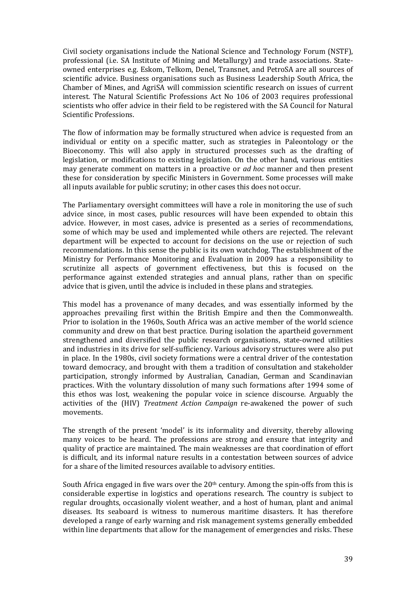Civil society organisations include the National Science and Technology Forum (NSTF), professional (i.e. SA Institute of Mining and Metallurgy) and trade associations. Stateowned enterprises e.g. Eskom, Telkom, Denel, Transnet, and PetroSA are all sources of scientific advice. Business organisations such as Business Leadership South Africa, the Chamber of Mines, and AgriSA will commission scientific research on issues of current interest. The Natural Scientific Professions Act No 106 of 2003 requires professional scientists who offer advice in their field to be registered with the SA Council for Natural Scientific Professions.

The flow of information may be formally structured when advice is requested from an individual or entity on a specific matter, such as strategies in Paleontology or the Bioeconomy. This will also apply in structured processes such as the drafting of legislation, or modifications to existing legislation. On the other hand, various entities may generate comment on matters in a proactive or *ad hoc* manner and then present these for consideration by specific Ministers in Government. Some processes will make all inputs available for public scrutiny; in other cases this does not occur.

The Parliamentary oversight committees will have a role in monitoring the use of such advice since, in most cases, public resources will have been expended to obtain this advice. However, in most cases, advice is presented as a series of recommendations, some of which may be used and implemented while others are rejected. The relevant department will be expected to account for decisions on the use or rejection of such recommendations. In this sense the public is its own watchdog. The establishment of the Ministry for Performance Monitoring and Evaluation in 2009 has a responsibility to scrutinize all aspects of government effectiveness, but this is focused on the performance against extended strategies and annual plans, rather than on specific advice that is given, until the advice is included in these plans and strategies.

This model has a provenance of many decades, and was essentially informed by the approaches prevailing first within the British Empire and then the Commonwealth. Prior to isolation in the 1960s, South Africa was an active member of the world science community and drew on that best practice. During isolation the apartheid government strengthened and diversified the public research organisations, state-owned utilities and industries in its drive for self-sufficiency. Various advisory structures were also put in place. In the 1980s, civil society formations were a central driver of the contestation toward democracy, and brought with them a tradition of consultation and stakeholder participation, strongly informed by Australian, Canadian, German and Scandinavian practices. With the voluntary dissolution of many such formations after 1994 some of this ethos was lost, weakening the popular voice in science discourse. Arguably the activities of the (HIV) *Treatment Action Campaign* re-awakened the power of such movements.

The strength of the present 'model' is its informality and diversity, thereby allowing many voices to be heard. The professions are strong and ensure that integrity and quality of practice are maintained. The main weaknesses are that coordination of effort is difficult, and its informal nature results in a contestation between sources of advice for a share of the limited resources available to advisory entities.

South Africa engaged in five wars over the  $20<sup>th</sup>$  century. Among the spin-offs from this is considerable expertise in logistics and operations research. The country is subject to regular droughts, occasionally violent weather, and a host of human, plant and animal diseases. Its seaboard is witness to numerous maritime disasters. It has therefore developed a range of early warning and risk management systems generally embedded within line departments that allow for the management of emergencies and risks. These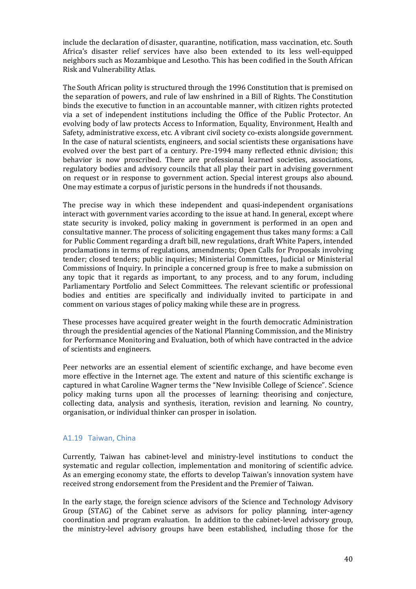include the declaration of disaster, quarantine, notification, mass vaccination, etc. South Africa's disaster relief services have also been extended to its less well-equipped neighbors such as Mozambique and Lesotho. This has been codified in the South African Risk and Vulnerability Atlas.

The South African polity is structured through the 1996 Constitution that is premised on the separation of powers, and rule of law enshrined in a Bill of Rights. The Constitution binds the executive to function in an accountable manner, with citizen rights protected via a set of independent institutions including the Office of the Public Protector. An evolving body of law protects Access to Information, Equality, Environment, Health and Safety, administrative excess, etc. A vibrant civil society co-exists alongside government. In the case of natural scientists, engineers, and social scientists these organisations have evolved over the best part of a century. Pre-1994 many reflected ethnic division; this behavior is now proscribed. There are professional learned societies, associations, regulatory bodies and advisory councils that all play their part in advising government on request or in response to government action. Special interest groups also abound. One may estimate a corpus of juristic persons in the hundreds if not thousands.

The precise way in which these independent and quasi-independent organisations interact with government varies according to the issue at hand. In general, except where state security is invoked, policy making in government is performed in an open and consultative manner. The process of soliciting engagement thus takes many forms: a Call for Public Comment regarding a draft bill, new regulations, draft White Papers, intended proclamations in terms of regulations, amendments; Open Calls for Proposals involving tender; closed tenders; public inquiries; Ministerial Committees, Judicial or Ministerial Commissions of Inquiry. In principle a concerned group is free to make a submission on any topic that it regards as important, to any process, and to any forum, including Parliamentary Portfolio and Select Committees. The relevant scientific or professional bodies and entities are specifically and individually invited to participate in and comment on various stages of policy making while these are in progress.

These processes have acquired greater weight in the fourth democratic Administration through the presidential agencies of the National Planning Commission, and the Ministry for Performance Monitoring and Evaluation, both of which have contracted in the advice of scientists and engineers.

Peer networks are an essential element of scientific exchange, and have become even more effective in the Internet age. The extent and nature of this scientific exchange is captured in what Caroline Wagner terms the "New Invisible College of Science". Science policy making turns upon all the processes of learning: theorising and conjecture, collecting data, analysis and synthesis, iteration, revision and learning. No country, organisation, or individual thinker can prosper in isolation.

# <span id="page-39-0"></span>A1.19 Taiwan, China

Currently, Taiwan has cabinet-level and ministry-level institutions to conduct the systematic and regular collection, implementation and monitoring of scientific advice. As an emerging economy state, the efforts to develop Taiwan's innovation system have received strong endorsement from the President and the Premier of Taiwan.

In the early stage, the foreign science advisors of the Science and Technology Advisory Group (STAG) of the Cabinet serve as advisors for policy planning, inter-agency coordination and program evaluation. In addition to the cabinet-level advisory group, the ministry-level advisory groups have been established, including those for the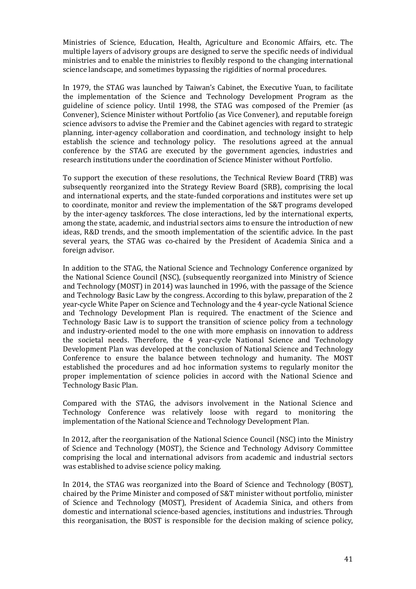Ministries of Science, Education, Health, Agriculture and Economic Affairs, etc. The multiple layers of advisory groups are designed to serve the specific needs of individual ministries and to enable the ministries to flexibly respond to the changing international science landscape, and sometimes bypassing the rigidities of normal procedures.

In 1979, the STAG was launched by Taiwan's Cabinet, the Executive Yuan, to facilitate the implementation of the Science and Technology Development Program as the guideline of science policy. Until 1998, the STAG was composed of the Premier (as Convener), Science Minister without Portfolio (as Vice Convener), and reputable foreign science advisors to advise the Premier and the Cabinet agencies with regard to strategic planning, inter-agency collaboration and coordination, and technology insight to help establish the science and technology policy. The resolutions agreed at the annual conference by the STAG are executed by the government agencies, industries and research institutions under the coordination of Science Minister without Portfolio.

To support the execution of these resolutions, the Technical Review Board (TRB) was subsequently reorganized into the Strategy Review Board (SRB), comprising the local and international experts, and the state-funded corporations and institutes were set up to coordinate, monitor and review the implementation of the S&T programs developed by the inter-agency taskforces. The close interactions, led by the international experts, among the state, academic, and industrial sectors aims to ensure the introduction of new ideas, R&D trends, and the smooth implementation of the scientific advice. In the past several years, the STAG was co-chaired by the President of Academia Sinica and a foreign advisor.

In addition to the STAG, the National Science and Technology Conference organized by the National Science Council (NSC), (subsequently reorganized into Ministry of Science and Technology (MOST) in 2014) was launched in 1996, with the passage of the Science and Technology Basic Law by the congress. According to this bylaw, preparation of the 2 year-cycle White Paper on Science and Technology and the 4 year-cycle National Science and Technology Development Plan is required. The enactment of the Science and Technology Basic Law is to support the transition of science policy from a technology and industry-oriented model to the one with more emphasis on innovation to address the societal needs. Therefore, the 4 year-cycle National Science and Technology Development Plan was developed at the conclusion of National Science and Technology Conference to ensure the balance between technology and humanity. The MOST established the procedures and ad hoc information systems to regularly monitor the proper implementation of science policies in accord with the National Science and Technology Basic Plan.

Compared with the STAG, the advisors involvement in the National Science and Technology Conference was relatively loose with regard to monitoring the implementation of the National Science and Technology Development Plan.

In 2012, after the reorganisation of the National Science Council (NSC) into the Ministry of Science and Technology (MOST), the Science and Technology Advisory Committee comprising the local and international advisors from academic and industrial sectors was established to advise science policy making.

In 2014, the STAG was reorganized into the Board of Science and Technology (BOST), chaired by the Prime Minister and composed of S&T minister without portfolio, minister of Science and Technology (MOST), President of Academia Sinica, and others from domestic and international science-based agencies, institutions and industries. Through this reorganisation, the BOST is responsible for the decision making of science policy,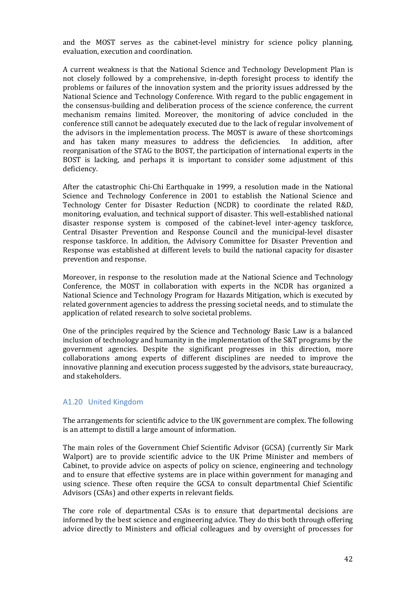and the MOST serves as the cabinet-level ministry for science policy planning, evaluation, execution and coordination.

A current weakness is that the National Science and Technology Development Plan is not closely followed by a comprehensive, in-depth foresight process to identify the problems or failures of the innovation system and the priority issues addressed by the National Science and Technology Conference. With regard to the public engagement in the consensus-building and deliberation process of the science conference, the current mechanism remains limited. Moreover, the monitoring of advice concluded in the conference still cannot be adequately executed due to the lack of regular involvement of the advisors in the implementation process. The MOST is aware of these shortcomings and has taken many measures to address the deficiencies. In addition, after and has taken many measures to address the deficiencies. reorganisation of the STAG to the BOST, the participation of international experts in the BOST is lacking, and perhaps it is important to consider some adjustment of this deficiency.

After the catastrophic Chi-Chi Earthquake in 1999, a resolution made in the National Science and Technology Conference in 2001 to establish the National Science and Technology Center for Disaster Reduction (NCDR) to coordinate the related R&D, monitoring, evaluation, and technical support of disaster. This well-established national disaster response system is composed of the cabinet-level inter-agency taskforce, Central Disaster Prevention and Response Council and the municipal-level disaster response taskforce. In addition, the Advisory Committee for Disaster Prevention and Response was established at different levels to build the national capacity for disaster prevention and response.

Moreover, in response to the resolution made at the National Science and Technology Conference, the MOST in collaboration with experts in the NCDR has organized a National Science and Technology Program for Hazards Mitigation, which is executed by related government agencies to address the pressing societal needs, and to stimulate the application of related research to solve societal problems.

One of the principles required by the Science and Technology Basic Law is a balanced inclusion of technology and humanity in the implementation of the S&T programs by the government agencies. Despite the significant progresses in this direction, more collaborations among experts of different disciplines are needed to improve the innovative planning and execution process suggested by the advisors, state bureaucracy, and stakeholders.

# <span id="page-41-0"></span>A1.20 United Kingdom

The arrangements for scientific advice to the UK government are complex. The following is an attempt to distill a large amount of information.

The main roles of the Government Chief Scientific Advisor (GCSA) (currently Sir Mark Walport) are to provide scientific advice to the UK Prime Minister and members of Cabinet, to provide advice on aspects of policy on science, engineering and technology and to ensure that effective systems are in place within government for managing and using science. These often require the GCSA to consult departmental Chief Scientific Advisors (CSAs) and other experts in relevant fields.

The core role of departmental CSAs is to ensure that departmental decisions are informed by the best science and engineering advice. They do this both through offering advice directly to Ministers and official colleagues and by oversight of processes for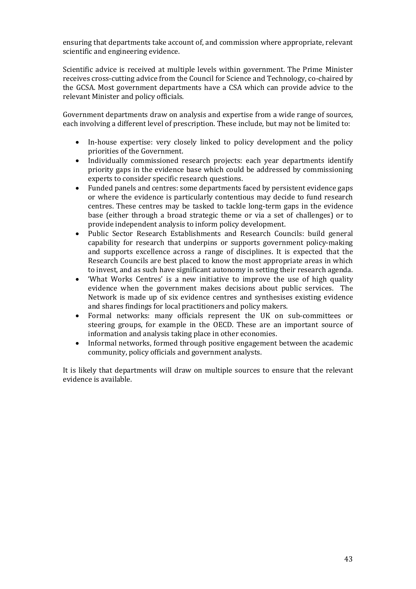ensuring that departments take account of, and commission where appropriate, relevant scientific and engineering evidence.

Scientific advice is received at multiple levels within government. The Prime Minister receives cross-cutting advice from the Council for Science and Technology, co-chaired by the GCSA. Most government departments have a CSA which can provide advice to the relevant Minister and policy officials.

Government departments draw on analysis and expertise from a wide range of sources, each involving a different level of prescription. These include, but may not be limited to:

- In-house expertise: very closely linked to policy development and the policy priorities of the Government.
- Individually commissioned research projects: each year departments identify priority gaps in the evidence base which could be addressed by commissioning experts to consider specific research questions.
- Funded panels and centres: some departments faced by persistent evidence gaps or where the evidence is particularly contentious may decide to fund research centres. These centres may be tasked to tackle long-term gaps in the evidence base (either through a broad strategic theme or via a set of challenges) or to provide independent analysis to inform policy development.
- Public Sector Research Establishments and Research Councils: build general capability for research that underpins or supports government policy-making and supports excellence across a range of disciplines. It is expected that the Research Councils are best placed to know the most appropriate areas in which to invest, and as such have significant autonomy in setting their research agenda.
- 'What Works Centres' is a new initiative to improve the use of high quality evidence when the government makes decisions about public services. The Network is made up of six evidence centres and synthesises existing evidence and shares findings for local practitioners and policy makers.
- Formal networks: many officials represent the UK on sub-committees or steering groups, for example in the OECD. These are an important source of information and analysis taking place in other economies.
- Informal networks, formed through positive engagement between the academic community, policy officials and government analysts.

It is likely that departments will draw on multiple sources to ensure that the relevant evidence is available.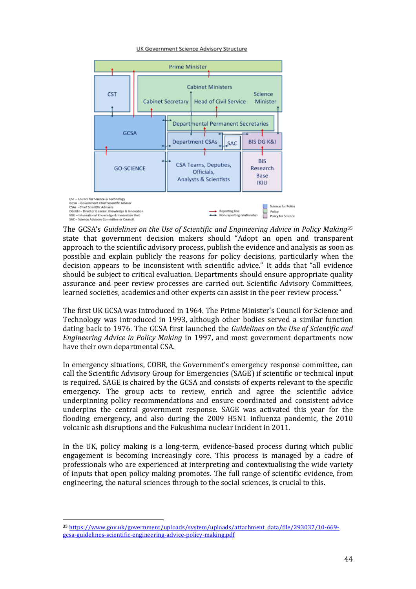UK Government Science Advisory Structure



The GCSA's *Guidelines on the Use of Scientific and Engineering Advice in Policy Making*<sup>35</sup> state that government decision makers should "Adopt an open and transpare[nt](#page-43-0)  approach to the scientific advisory process, publish the evidence and analysis as soon as possible and explain publicly the reasons for policy decisions, particularly when the decision appears to be inconsistent with scientific advice." It adds that "all evidence should be subject to critical evaluation. Departments should ensure appropriate quality assurance and peer review processes are carried out. Scientific Advisory Committees, learned societies, academics and other experts can assist in the peer review process."

The first UK GCSA was introduced in 1964. The Prime Minister's Council for Science and Technology was introduced in 1993, although other bodies served a similar function dating back to 1976. The GCSA first launched the *Guidelines on the Use of Scientific and Engineering Advice in Policy Making* in 1997, and most government departments now have their own departmental CSA.

In emergency situations, COBR, the Government's emergency response committee, can call the Scientific Advisory Group for Emergencies (SAGE) if scientific or technical input is required. SAGE is chaired by the GCSA and consists of experts relevant to the specific emergency. The group acts to review, enrich and agree the scientific advice underpinning policy recommendations and ensure coordinated and consistent advice underpins the central government response. SAGE was activated this year for the flooding emergency, and also during the 2009 H5N1 influenza pandemic, the 2010 volcanic ash disruptions and the Fukushima nuclear incident in 2011.

In the UK, policy making is a long-term, evidence-based process during which public engagement is becoming increasingly core. This process is managed by a cadre of professionals who are experienced at interpreting and contextualising the wide variety of inputs that open policy making promotes. The full range of scientific evidence, from engineering, the natural sciences through to the social sciences, is crucial to this.

<span id="page-43-0"></span><sup>35</sup> [https://www.gov.uk/government/uploads/system/uploads/attachment\\_data/file/293037/10-669](https://www.gov.uk/government/uploads/system/uploads/attachment_data/file/293037/10-669-gcsa-guidelines-scientific-engineering-advice-policy-making.pdf) [gcsa-guidelines-scientific-engineering-advice-policy-making.pdf](https://www.gov.uk/government/uploads/system/uploads/attachment_data/file/293037/10-669-gcsa-guidelines-scientific-engineering-advice-policy-making.pdf) i<br>I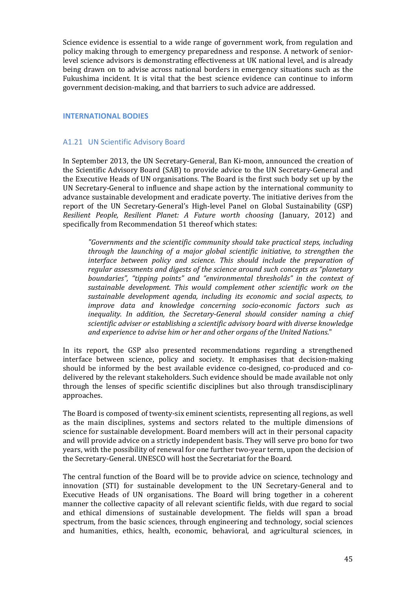Science evidence is essential to a wide range of government work, from regulation and policy making through to emergency preparedness and response. A network of seniorlevel science advisors is demonstrating effectiveness at UK national level, and is already being drawn on to advise across national borders in emergency situations such as the Fukushima incident. It is vital that the best science evidence can continue to inform government decision-making, and that barriers to such advice are addressed.

#### **INTERNATIONAL BODIES**

## <span id="page-44-0"></span>A1.21 UN Scientific Advisory Board

In September 2013, the UN Secretary-General, Ban Ki-moon, announced the creation of the Scientific Advisory Board (SAB) to provide advice to the UN Secretary-General and the Executive Heads of UN organisations. The Board is the first such body set up by the UN Secretary-General to influence and shape action by the international community to advance sustainable development and eradicate poverty. The initiative derives from the report of the UN Secretary-General's High-level Panel on Global Sustainability (GSP) *Resilient People, Resilient Planet: A Future worth choosing* (January, 2012) and specifically from Recommendation 51 thereof which states:

*"Governments and the scientific community should take practical steps, including through the launching of a major global scientific initiative, to strengthen the interface between policy and science. This should include the preparation of regular assessments and digests of the science around such concepts as "planetary boundaries", "tipping points" and "environmental thresholds" in the context of sustainable development. This would complement other scientific work on the sustainable development agenda, including its economic and social aspects, to improve data and knowledge concerning socio-economic factors such as inequality. In addition, the Secretary-General should consider naming a chief scientific adviser or establishing a scientific advisory board with diverse knowledge and experience to advise him or her and other organs of the United Nations*."

In its report, the GSP also presented recommendations regarding a strengthened interface between science, policy and society. It emphasises that decision-making should be informed by the best available evidence co-designed, co-produced and codelivered by the relevant stakeholders. Such evidence should be made available not only through the lenses of specific scientific disciplines but also through transdisciplinary approaches.

The Board is composed of twenty-six eminent scientists, representing all regions, as well as the main disciplines, systems and sectors related to the multiple dimensions of science for sustainable development. Board members will act in their personal capacity and will provide advice on a strictly independent basis. They will serve pro bono for two years, with the possibility of renewal for one further two-year term, upon the decision of the Secretary-General. UNESCO will host the Secretariat for the Board.

The central function of the Board will be to provide advice on science, technology and innovation (STI) for sustainable development to the UN Secretary-General and to Executive Heads of UN organisations. The Board will bring together in a coherent manner the collective capacity of all relevant scientific fields, with due regard to social and ethical dimensions of sustainable development. The fields will span a broad spectrum, from the basic sciences, through engineering and technology, social sciences and humanities, ethics, health, economic, behavioral, and agricultural sciences, in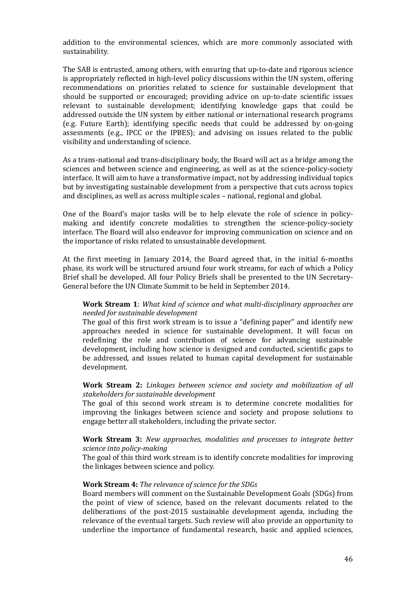addition to the environmental sciences, which are more commonly associated with sustainability.

The SAB is entrusted, among others, with ensuring that up-to-date and rigorous science is appropriately reflected in high-level policy discussions within the UN system, offering recommendations on priorities related to science for sustainable development that should be supported or encouraged; providing advice on up-to-date scientific issues relevant to sustainable development; identifying knowledge gaps that could be addressed outside the UN system by either national or international research programs (e.g. Future Earth); identifying specific needs that could be addressed by on-going assessments (e.g., IPCC or the IPBES); and advising on issues related to the public visibility and understanding of science.

As a trans-national and trans-disciplinary body, the Board will act as a bridge among the sciences and between science and engineering, as well as at the science-policy-society interface. It will aim to have a transformative impact, not by addressing individual topics but by investigating sustainable development from a perspective that cuts across topics and disciplines, as well as across multiple scales – national, regional and global.

One of the Board's major tasks will be to help elevate the role of science in policymaking and identify concrete modalities to strengthen the science-policy-society interface. The Board will also endeavor for improving communication on science and on the importance of risks related to unsustainable development.

At the first meeting in January 2014, the Board agreed that, in the initial 6-months phase, its work will be structured around four work streams, for each of which a Policy Brief shall be developed. All four Policy Briefs shall be presented to the UN Secretary-General before the UN Climate Summit to be held in September 2014.

#### **Work Stream 1**: *What kind of science and what multi-disciplinary approaches are needed for sustainable development*

The goal of this first work stream is to issue a "defining paper" and identify new approaches needed in science for sustainable development. It will focus on redefining the role and contribution of science for advancing sustainable development, including how science is designed and conducted, scientific gaps to be addressed, and issues related to human capital development for sustainable development.

#### **Work Stream 2:** *Linkages between science and society and mobilization of all stakeholders for sustainable development*

The goal of this second work stream is to determine concrete modalities for improving the linkages between science and society and propose solutions to engage better all stakeholders, including the private sector.

#### **Work Stream 3:** *New approaches, modalities and processes to integrate better science into policy-making*

The goal of this third work stream is to identify concrete modalities for improving the linkages between science and policy.

#### **Work Stream 4:** *The relevance of science for the SDGs*

Board members will comment on the Sustainable Development Goals (SDGs) from the point of view of science, based on the relevant documents related to the deliberations of the post-2015 sustainable development agenda, including the relevance of the eventual targets. Such review will also provide an opportunity to underline the importance of fundamental research, basic and applied sciences,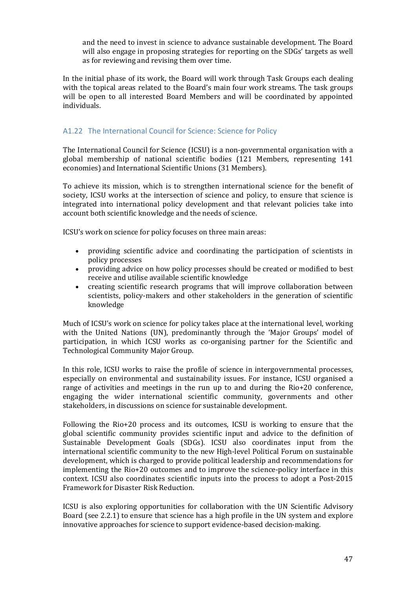and the need to invest in science to advance sustainable development. The Board will also engage in proposing strategies for reporting on the SDGs' targets as well as for reviewing and revising them over time.

In the initial phase of its work, the Board will work through Task Groups each dealing with the topical areas related to the Board's main four work streams. The task groups will be open to all interested Board Members and will be coordinated by appointed individuals.

# <span id="page-46-0"></span>A1.22 The International Council for Science: Science for Policy

The International Council for Science (ICSU) is a non-governmental organisation with a global membership of national scientific bodies (121 Members, representing 141 economies) and International Scientific Unions (31 Members).

To achieve its mission, which is to strengthen international science for the benefit of society, ICSU works at the intersection of science and policy, to ensure that science is integrated into international policy development and that relevant policies take into account both scientific knowledge and the needs of science.

ICSU's work on science for policy focuses on three main areas:

- providing scientific advice and coordinating the participation of scientists in policy processes
- providing advice on how policy processes should be created or modified to best receive and utilise available scientific knowledge
- creating scientific research programs that will improve collaboration between scientists, policy-makers and other stakeholders in the generation of scientific knowledge

Much of ICSU's work on science for policy takes place at the international level, working with the United Nations (UN), predominantly through the 'Major Groups' model of participation, in which ICSU works as co-organising partner for the [Scientific and](http://www.icsu.org/science-for-policy/scientific-and-technological-community-major-group)  [Technological Community Major Group.](http://www.icsu.org/science-for-policy/scientific-and-technological-community-major-group) 

In this role, ICSU works to raise the profile of science in intergovernmental processes, especially on environmental and sustainability issues. For instance, ICSU organised a range of activities and meetings in the run up to and during the Rio+20 conference, engaging the wider international scientific community, governments and other stakeholders, in discussions on science for sustainable development.

Following the Rio+20 process and its outcomes, ICSU is working to ensure that the global scientific community provides scientific input and advice to the definition of Sustainable Development Goals (SDGs). ICSU also coordinates input from the international scientific community to the new High-level Political Forum on sustainable development, which is charged to provide political leadership and recommendations for implementing the Rio+20 outcomes and to improve the science-policy interface in this context. ICSU also coordinates scientific inputs into the process to adopt a Post-2015 Framework for Disaster Risk Reduction.

ICSU is also exploring opportunities for collaboration with the UN Scientific Advisory Board (see 2.2.1) to ensure that science has a high profile in the UN system and explore innovative approaches for science to support evidence-based decision-making.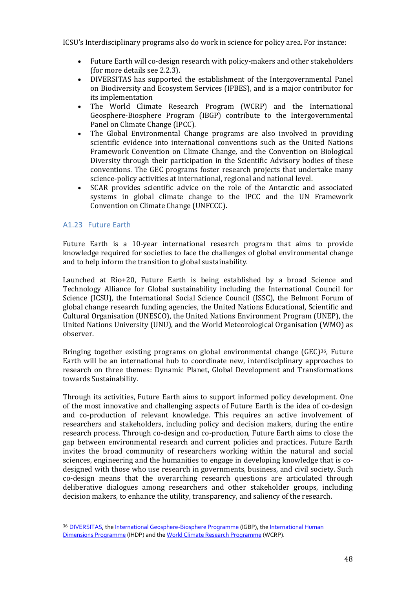ICSU's Interdisciplinary programs also do work in science for policy area. For instance:

- [Future Earth](http://www.futureearth.info/) will co-design research with policy-makers and other stakeholders (for more details see 2.2.3).
- [DIVERSITAS](http://www.diversitas-international.org/) has supported the establishment of the [Intergovernmental Panel](http://www.ipbes.net/)  [on Biodiversity and Ecosystem Services](http://www.ipbes.net/) (IPBES), and is a major contributor for its implementation
- The [World Climate Research Program](http://wcrp-climate.org/) (WCRP) and the International Geosphere-Biosphere Program (IBGP) contribute to the [Intergovernmental](https://www.ipcc.ch/)  [Panel on Climate Change](https://www.ipcc.ch/) (IPCC).
- The Global Environmental Change programs are also involved in providing scientific evidence into international conventions such as the United Nations Framework Convention on Climate Change, and the Convention on Biological Diversity through their participation in the Scientific Advisory bodies of these conventions. The GEC programs foster research projects that undertake many science-policy activities at international, regional and national level.
- [SCAR](http://www.scar.org/) provides scientific advice on the role of the Antarctic and associated systems in global climate change to the [IPCC](http://www.ipcc.ch/) and the [UN Framework](http://unfccc.int/)  [Convention on Climate Change](http://unfccc.int/) (UNFCCC).

# <span id="page-47-0"></span>A1.23 Future Earth

Future Earth is a 10-year international research program that aims to provide knowledge required for societies to face the challenges of global environmental change and to help inform the transition to global sustainability.

Launched at Rio+20, Future Earth is being established by a broad Science and Technology Alliance for Global sustainability including the International Council for Science (ICSU), the International Social Science Council (ISSC), the Belmont Forum of global change research funding agencies, the United Nations Educational, Scientific and Cultural Organisation (UNESCO), the United Nations Environment Program (UNEP), the United Nations University (UNU), and the World Meteorological Organisation (WMO) as observer.

Bringing together existing programs on global environmental change (GEC)<sup>36</sup>, Future Earth will be an international hub to coordinate new, interdisciplinary approaches to research on three themes: Dynamic Planet, Global Development and Transformations towards Sustainability.

Through its activities, Future Earth aims to support informed policy development. One of the most innovative and challenging aspects of Future Earth is the idea of co-design and co-production of relevant knowledge. This requires an active involvement of researchers and stakeholders, including policy and decision makers, during the entire research process. Through co-design and co-production, Future Earth aims to close the gap between environmental research and current policies and practices. Future Earth invites the broad community of researchers working within the natural and social sciences, engineering and the humanities to engage in developing knowledge that is codesigned with those who use research in governments, business, and civil society. Such co-design means that the overarching research questions are articulated through deliberative dialogues among researchers and other stakeholder groups, including decision makers, to enhance the utility, transparency, and saliency of the research.

<span id="page-47-1"></span><sup>&</sup>lt;sup>36</sup> <u>DIVERSITAS</u>, the <u>International Geosphere-Biosphere Programme</u> (IGBP), the <u>International Human</u> [Dimensions Programme](http://ihdp.unu.edu/) (IHDP) and th[e World Climate Research Programme](http://wcrp-climate.org/) (WCRP). l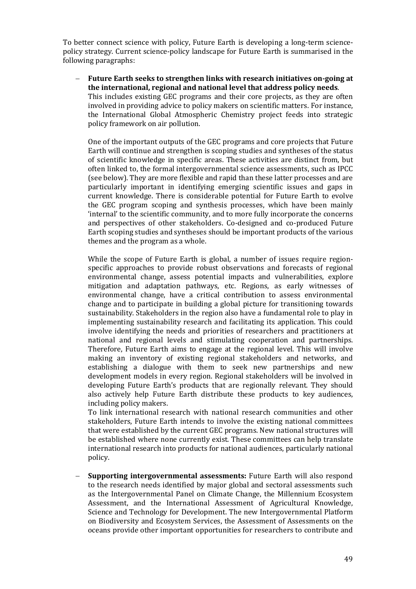To better connect science with policy, Future Earth is developing a long-term sciencepolicy strategy. Current science-policy landscape for Future Earth is summarised in the following paragraphs:

− **Future Earth seeks to strengthen links with research initiatives on-going at the international, regional and national level that address policy needs**. This includes existing GEC programs and their core projects, as they are often involved in providing advice to policy makers on scientific matters. For instance, the International Global Atmospheric Chemistry project feeds into strategic policy framework on air pollution.

One of the important outputs of the GEC programs and core projects that Future Earth will continue and strengthen is scoping studies and syntheses of the status of scientific knowledge in specific areas. These activities are distinct from, but often linked to, the formal intergovernmental science assessments, such as IPCC (see below). They are more flexible and rapid than these latter processes and are particularly important in identifying emerging scientific issues and gaps in current knowledge. There is considerable potential for Future Earth to evolve the GEC program scoping and synthesis processes, which have been mainly 'internal' to the scientific community, and to more fully incorporate the concerns and perspectives of other stakeholders. Co-designed and co-produced Future Earth scoping studies and syntheses should be important products of the various themes and the program as a whole.

While the scope of Future Earth is global, a number of issues require regionspecific approaches to provide robust observations and forecasts of regional environmental change, assess potential impacts and vulnerabilities, explore mitigation and adaptation pathways, etc. Regions, as early witnesses of environmental change, have a critical contribution to assess environmental change and to participate in building a global picture for transitioning towards sustainability. Stakeholders in the region also have a fundamental role to play in implementing sustainability research and facilitating its application. This could involve identifying the needs and priorities of researchers and practitioners at national and regional levels and stimulating cooperation and partnerships. Therefore, Future Earth aims to engage at the regional level. This will involve making an inventory of existing regional stakeholders and networks, and establishing a dialogue with them to seek new partnerships and new development models in every region. Regional stakeholders will be involved in developing Future Earth's products that are regionally relevant. They should also actively help Future Earth distribute these products to key audiences, including policy makers.

To link international research with national research communities and other stakeholders, Future Earth intends to involve the existing national committees that were established by the current GEC programs. New national structures will be established where none currently exist. These committees can help translate international research into products for national audiences, particularly national policy.

− **Supporting intergovernmental assessments:** Future Earth will also respond to the research needs identified by major global and sectoral assessments such as the Intergovernmental Panel on Climate Change, the Millennium Ecosystem Assessment, and the International Assessment of Agricultural Knowledge, Science and Technology for Development. The new Intergovernmental Platform on Biodiversity and Ecosystem Services, the Assessment of Assessments on the oceans provide other important opportunities for researchers to contribute and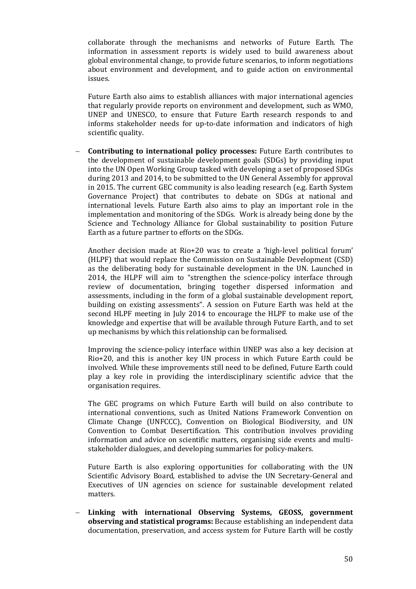collaborate through the mechanisms and networks of Future Earth. The information in assessment reports is widely used to build awareness about global environmental change, to provide future scenarios, to inform negotiations about environment and development, and to guide action on environmental issues.

Future Earth also aims to establish alliances with major international agencies that regularly provide reports on environment and development, such as WMO, UNEP and UNESCO, to ensure that Future Earth research responds to and informs stakeholder needs for up-to-date information and indicators of high scientific quality.

− **Contributing to international policy processes:** Future Earth contributes to the development of sustainable development goals (SDGs) by providing input into the UN Open Working Group tasked with developing a set of proposed SDGs during 2013 and 2014, to be submitted to the UN General Assembly for approval in 2015. The current GEC community is also leading research (e.g. Earth System Governance Project) that contributes to debate on SDGs at national and international levels. Future Earth also aims to play an important role in the implementation and monitoring of the SDGs. Work is already being done by the Science and Technology Alliance for Global sustainability to position Future Earth as a future partner to efforts on the SDGs.

Another decision made at Rio+20 was to create a 'high-level political forum' (HLPF) that would replace the Commission on Sustainable Development (CSD) as the deliberating body for sustainable development in the UN. Launched in 2014, the HLPF will aim to "strengthen the science-policy interface through review of documentation, bringing together dispersed information and assessments, including in the form of a global sustainable development report, building on existing assessments". A session on Future Earth was held at the second HLPF meeting in July 2014 to encourage the HLPF to make use of the knowledge and expertise that will be available through Future Earth, and to set up mechanisms by which this relationship can be formalised.

Improving the science-policy interface within UNEP was also a key decision at Rio+20, and this is another key UN process in which Future Earth could be involved. While these improvements still need to be defined, Future Earth could play a key role in providing the interdisciplinary scientific advice that the organisation requires.

The GEC programs on which Future Earth will build on also contribute to international conventions, such as United Nations Framework Convention on Climate Change (UNFCCC), Convention on Biological Biodiversity, and UN Convention to Combat Desertification. This contribution involves providing information and advice on scientific matters, organising side events and multistakeholder dialogues, and developing summaries for policy-makers.

Future Earth is also exploring opportunities for collaborating with the UN Scientific Advisory Board, established to advise the UN Secretary-General and Executives of UN agencies on science for sustainable development related matters.

− **Linking with international Observing Systems, GEOSS, government observing and statistical programs:** Because establishing an independent data documentation, preservation, and access system for Future Earth will be costly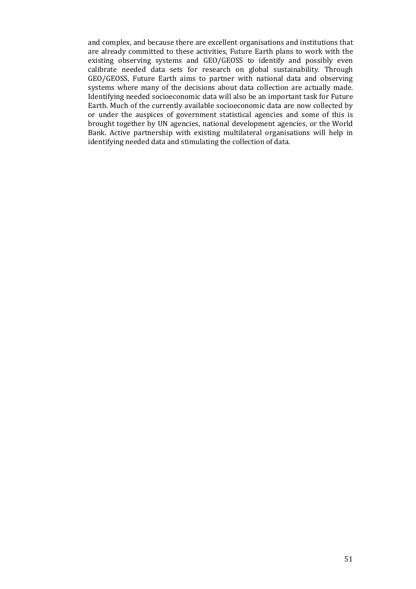and complex, and because there are excellent organisations and institutions that are already committed to these activities, Future Earth plans to work with the existing observing systems and GEO/GEOSS to identify and possibly even calibrate needed data sets for research on global sustainability. Through GEO/GEOSS, Future Earth aims to partner with national data and observing systems where many of the decisions about data collection are actually made. Identifying needed socioeconomic data will also be an important task for Future Earth. Much of the currently available socioeconomic data are now collected by or under the auspices of government statistical agencies and some of this is brought together by UN agencies, national development agencies, or the World Bank. Active partnership with existing multilateral organisations will help in identifying needed data and stimulating the collection of data.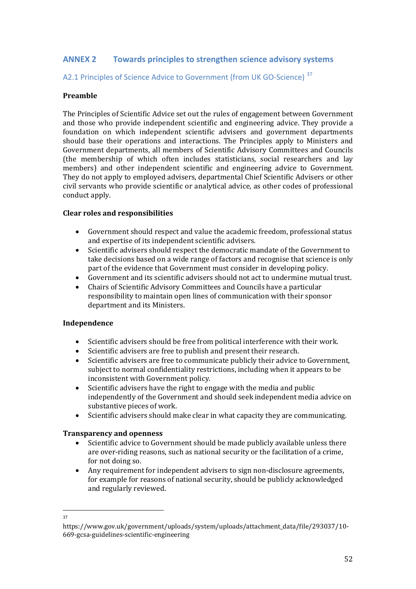# <span id="page-51-0"></span>**ANNEX 2 Towards principles to strengthen science advisory systems**

## <span id="page-51-1"></span>A2.1 Principles of Science Advice to Government (from UK GO-Science)<sup>[37](#page-51-2)</sup>

# **Preamble**

The Principles of Scientific Advice set out the rules of engagement between Government and those who provide independent scientific and engineering advice. They provide a foundation on which independent scientific advisers and government departments should base their operations and interactions. The Principles apply to Ministers and Government departments, all members of Scientific Advisory Committees and Councils (the membership of which often includes statisticians, social researchers and lay members) and other independent scientific and engineering advice to Government. They do not apply to employed advisers, departmental Chief Scientific Advisers or other civil servants who provide scientific or analytical advice, as other codes of professional conduct apply.

#### **Clear roles and responsibilities**

- Government should respect and value the academic freedom, professional status and expertise of its independent scientific advisers.
- Scientific advisers should respect the democratic mandate of the Government to take decisions based on a wide range of factors and recognise that science is only part of the evidence that Government must consider in developing policy.
- Government and its scientific advisers should not act to undermine mutual trust.
- Chairs of Scientific Advisory Committees and Councils have a particular responsibility to maintain open lines of communication with their sponsor department and its Ministers.

# **Independence**

- Scientific advisers should be free from political interference with their work.<br>• Scientific advisers are free to publish and present their research
- Scientific advisers are free to publish and present their research.
- Scientific advisers are free to communicate publicly their advice to Government, subject to normal confidentiality restrictions, including when it appears to be inconsistent with Government policy.
- Scientific advisers have the right to engage with the media and public independently of the Government and should seek independent media advice on substantive pieces of work.
- Scientific advisers should make clear in what capacity they are communicating.

# **Transparency and openness**

- Scientific advice to Government should be made publicly available unless there are over-riding reasons, such as national security or the facilitation of a crime, for not doing so.
- Any requirement for independent advisers to sign non-disclosure agreements, for example for reasons of national security, should be publicly acknowledged and regularly reviewed.

<sup>—&</sup>lt;br>37

<span id="page-51-2"></span>https://www.gov.uk/government/uploads/system/uploads/attachment\_data/file/293037/10- 669-gcsa-guidelines-scientific-engineering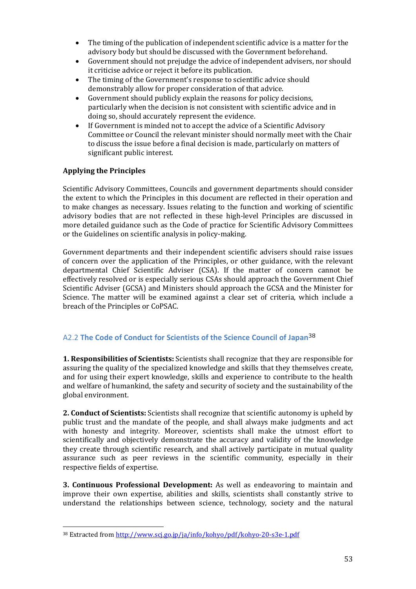- The timing of the publication of independent scientific advice is a matter for the advisory body but should be discussed with the Government beforehand.
- Government should not prejudge the advice of independent advisers, nor should it criticise advice or reject it before its publication.
- The timing of the Government's response to scientific advice should demonstrably allow for proper consideration of that advice.
- Government should publicly explain the reasons for policy decisions, particularly when the decision is not consistent with scientific advice and in doing so, should accurately represent the evidence.
- If Government is minded not to accept the advice of a Scientific Advisory Committee or Council the relevant minister should normally meet with the Chair to discuss the issue before a final decision is made, particularly on matters of significant public interest.

#### **Applying the Principles**

Scientific Advisory Committees, Councils and government departments should consider the extent to which the Principles in this document are reflected in their operation and to make changes as necessary. Issues relating to the function and working of scientific advisory bodies that are not reflected in these high-level Principles are discussed in more detailed guidance such as the Code of practice for Scientific Advisory Committees or the Guidelines on scientific analysis in policy-making.

Government departments and their independent scientific advisers should raise issues of concern over the application of the Principles, or other guidance, with the relevant departmental Chief Scientific Adviser (CSA). If the matter of concern cannot be effectively resolved or is especially serious CSAs should approach the Government Chief Scientific Adviser (GCSA) and Ministers should approach the GCSA and the Minister for Science. The matter will be examined against a clear set of criteria, which include a breach of the Principles or CoPSAC.

# <span id="page-52-0"></span>A2.2 **The Code of Conduct for Scientists of the Science Council of Japan**[38](#page-52-1)

**1. Responsibilities of Scientists:** Scientists shall recognize that they are responsible for assuring the quality of the specialized knowledge and skills that they themselves create, and for using their expert knowledge, skills and experience to contribute to the health and welfare of humankind, the safety and security of society and the sustainability of the global environment.

**2. Conduct of Scientists:** Scientists shall recognize that scientific autonomy is upheld by public trust and the mandate of the people, and shall always make judgments and act with honesty and integrity. Moreover, scientists shall make the utmost effort to scientifically and objectively demonstrate the accuracy and validity of the knowledge they create through scientific research, and shall actively participate in mutual quality assurance such as peer reviews in the scientific community, especially in their respective fields of expertise.

**3. Continuous Professional Development:** As well as endeavoring to maintain and improve their own expertise, abilities and skills, scientists shall constantly strive to understand the relationships between science, technology, society and the natural

<span id="page-52-1"></span><sup>&</sup>lt;sup>38</sup> Extracted from <u>http://www.scj.go.jp/ja/info/kohyo/pdf/kohyo-20-s3e-1.pdf</u> i<br>I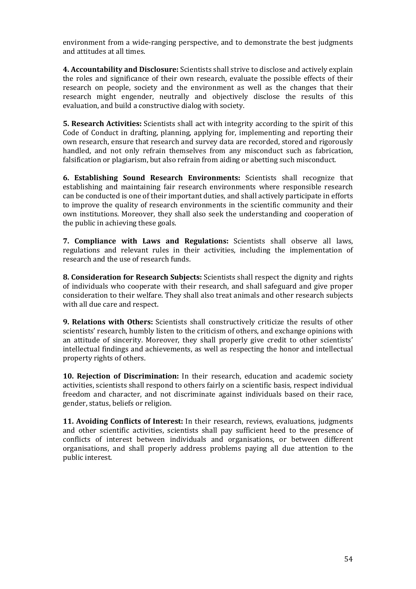environment from a wide-ranging perspective, and to demonstrate the best judgments and attitudes at all times.

**4. Accountability and Disclosure:** Scientists shall strive to disclose and actively explain the roles and significance of their own research, evaluate the possible effects of their research on people, society and the environment as well as the changes that their research might engender, neutrally and objectively disclose the results of this evaluation, and build a constructive dialog with society.

**5. Research Activities:** Scientists shall act with integrity according to the spirit of this Code of Conduct in drafting, planning, applying for, implementing and reporting their own research, ensure that research and survey data are recorded, stored and rigorously handled, and not only refrain themselves from any misconduct such as fabrication, falsification or plagiarism, but also refrain from aiding or abetting such misconduct.

**6. Establishing Sound Research Environments:** Scientists shall recognize that establishing and maintaining fair research environments where responsible research can be conducted is one of their important duties, and shall actively participate in efforts to improve the quality of research environments in the scientific community and their own institutions. Moreover, they shall also seek the understanding and cooperation of the public in achieving these goals.

**7. Compliance with Laws and Regulations:** Scientists shall observe all laws, regulations and relevant rules in their activities, including the implementation of research and the use of research funds.

**8. Consideration for Research Subjects:** Scientists shall respect the dignity and rights of individuals who cooperate with their research, and shall safeguard and give proper consideration to their welfare. They shall also treat animals and other research subjects with all due care and respect.

**9. Relations with Others:** Scientists shall constructively criticize the results of other scientists' research, humbly listen to the criticism of others, and exchange opinions with an attitude of sincerity. Moreover, they shall properly give credit to other scientists' intellectual findings and achievements, as well as respecting the honor and intellectual property rights of others.

**10. Rejection of Discrimination:** In their research, education and academic society activities, scientists shall respond to others fairly on a scientific basis, respect individual freedom and character, and not discriminate against individuals based on their race, gender, status, beliefs or religion.

**11. Avoiding Conflicts of Interest:** In their research, reviews, evaluations, judgments and other scientific activities, scientists shall pay sufficient heed to the presence of conflicts of interest between individuals and organisations, or between different organisations, and shall properly address problems paying all due attention to the public interest.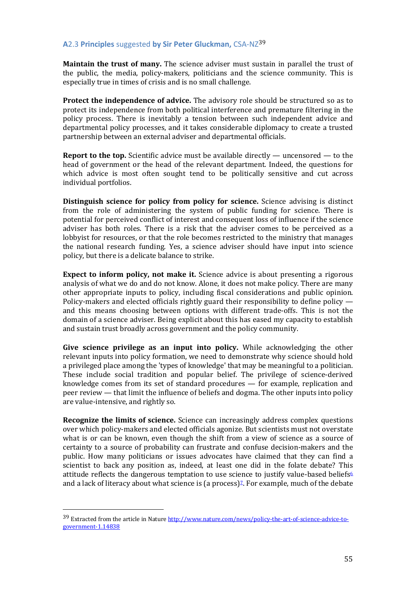#### <span id="page-54-0"></span>**A**2.3 **Principles** suggested **by Sir Peter Gluckman,** CSA-NZ[39](#page-54-1)

**Maintain the trust of many.** The science adviser must sustain in parallel the trust of the public, the media, policy-makers, politicians and the science community. This is especially true in times of crisis and is no small challenge.

**Protect the independence of advice.** The advisory role should be structured so as to protect its independence from both political interference and premature filtering in the policy process. There is inevitably a tension between such independent advice and departmental policy processes, and it takes considerable diplomacy to create a trusted partnership between an external adviser and departmental officials.

**Report to the top.** Scientific advice must be available directly — uncensored — to the head of government or the head of the relevant department. Indeed, the questions for which advice is most often sought tend to be politically sensitive and cut across individual portfolios.

**Distinguish science for policy from policy for science.** Science advising is distinct from the role of administering the system of public funding for science. There is potential for perceived conflict of interest and consequent loss of influence if the science adviser has both roles. There is a risk that the adviser comes to be perceived as a lobbyist for resources, or that the role becomes restricted to the ministry that manages the national research funding. Yes, a science adviser should have input into science policy, but there is a delicate balance to strike.

**Expect to inform policy, not make it.** Science advice is about presenting a rigorous analysis of what we do and do not know. Alone, it does not make policy. There are many other appropriate inputs to policy, including fiscal considerations and public opinion. Policy-makers and elected officials rightly guard their responsibility to define policy and this means choosing between options with different trade-offs. This is not the domain of a science adviser. Being explicit about this has eased my capacity to establish and sustain trust broadly across government and the policy community.

**Give science privilege as an input into policy.** While acknowledging the other relevant inputs into policy formation, we need to demonstrate why science should hold a privileged place among the 'types of knowledge' that may be meaningful to a politician. These include social tradition and popular belief. The privilege of science-derived knowledge comes from its set of standard procedures — for example, replication and peer review — that limit the influence of beliefs and dogma. The other inputs into policy are value-intensive, and rightly so.

**Recognize the limits of science.** Science can increasingly address complex questions over which policy-makers and elected officials agonize. But scientists must not overstate what is or can be known, even though the shift from a view of science as a source of certainty to a source of probability can frustrate and confuse decision-makers and the public. How many politicians or issues advocates have claimed that they can find a scientist to back any position as, indeed, at least one did in the folate debate? This attitude reflects the dangerous temptation to use science to justify value-based beliefs $6$ and a lack of literacy about what science is (a process)<sup>2</sup>. For example, much of the debate

i<br>I

<span id="page-54-1"></span><sup>&</sup>lt;sup>39</sup> Extracted from the article in Natur[e http://www.nature.com/news/policy-the-art-of-science-advice-to](http://www.nature.com/news/policy-the-art-of-science-advice-to-government-1.14838)[government-1.14838](http://www.nature.com/news/policy-the-art-of-science-advice-to-government-1.14838)